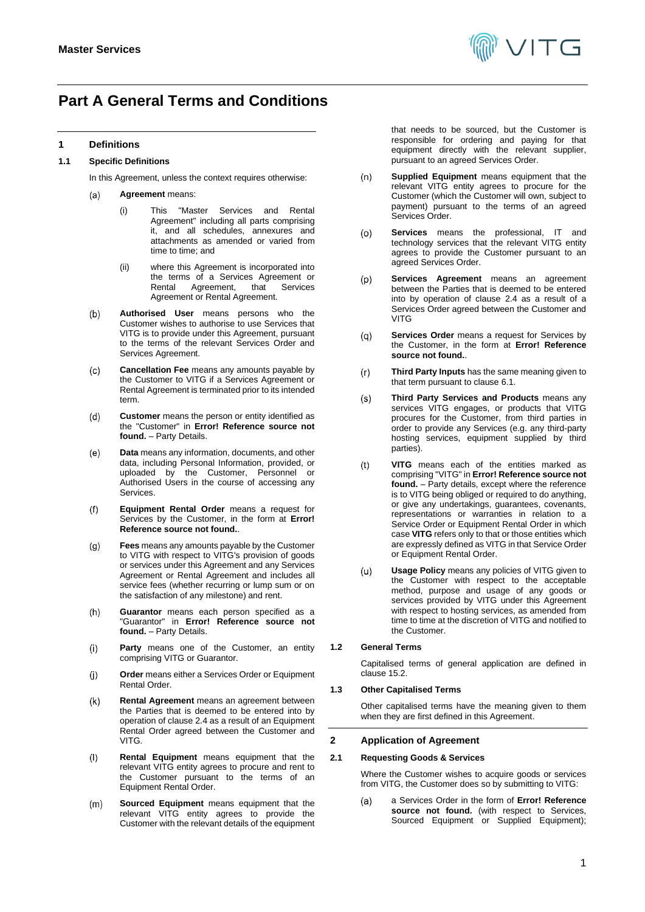

## <span id="page-0-0"></span>**Part A General Terms and Conditions**

## **1 Definitions**

## **1.1 Specific Definitions**

In this Agreement, unless the context requires otherwise:

#### **Agreement** means:  $(a)$

- (i) This "Master Services and Rental Agreement" including all parts comprising it, and all schedules, annexures and attachments as amended or varied from time to time; and
- (ii) where this Agreement is incorporated into the terms of a Services Agreement or<br>Rental Agreement. that Services Agreement, Agreement or Rental Agreement.
- $(b)$ **Authorised User** means persons who the Customer wishes to authorise to use Services that VITG is to provide under this Agreement, pursuant to the terms of the relevant Services Order and Services Agreement.
- $(c)$ **Cancellation Fee** means any amounts payable by the Customer to VITG if a Services Agreement or Rental Agreement is terminated prior to its intended term.
- $(d)$ **Customer** means the person or entity identified as the "Customer" in **Error! Reference source not found.** – Party Details.
- $(e)$ **Data** means any information, documents, and other data, including Personal Information, provided, or uploaded by the Customer, Personnel or Authorised Users in the course of accessing any Services.
- **Equipment Rental Order** means a request for  $(f)$ Services by the Customer, in the form at **Error! Reference source not found.**.
- **Fees** means any amounts payable by the Customer  $(g)$ to VITG with respect to VITG's provision of goods or services under this Agreement and any Services Agreement or Rental Agreement and includes all service fees (whether recurring or lump sum or on the satisfaction of any milestone) and rent.
- $(h)$ **Guarantor** means each person specified as a "Guarantor" in **Error! Reference source not found.** – Party Details.
- **Party** means one of the Customer, an entity  $(i)$ comprising VITG or Guarantor.
- $(i)$ **Order** means either a Services Order or Equipment Rental Order.
- **Rental Agreement** means an agreement between  $(k)$ the Parties that is deemed to be entered into by operation of claus[e 2.4](#page-1-0) as a result of an Equipment Rental Order agreed between the Customer and VITG.
- $($ l $)$ **Rental Equipment** means equipment that the relevant VITG entity agrees to procure and rent to the Customer pursuant to the terms of an Equipment Rental Order.
- $(m)$ **Sourced Equipment** means equipment that the relevant VITG entity agrees to provide the Customer with the relevant details of the equipment

that needs to be sourced, but the Customer is responsible for ordering and paying for that equipment directly with the relevant supplier, pursuant to an agreed Services Order.

- **Supplied Equipment** means equipment that the  $(n)$ relevant VITG entity agrees to procure for the Customer (which the Customer will own, subject to payment) pursuant to the terms of an agreed Services Order.
- **Services** means the professional, IT and  $(o)$ technology services that the relevant VITG entity agrees to provide the Customer pursuant to an agreed Services Order.
- **Services Agreement** means an agreement  $(p)$ between the Parties that is deemed to be entered into by operation of clause [2.4](#page-1-0) as a result of a Services Order agreed between the Customer and **VITG**
- **Services Order** means a request for Services by  $(q)$ the Customer, in the form at **Error! Reference source not found.**.
- $(r)$ **Third Party Inputs** has the same meaning given to that term pursuant to clause [6.1.](#page-3-0)
- **Third Party Services and Products** means any  $(s)$ services VITG engages, or products that VITG procures for the Customer, from third parties in order to provide any Services (e.g. any third-party hosting services, equipment supplied by third parties).
- $(t)$ **VITG** means each of the entities marked as comprising "VITG" in **Error! Reference source not**  found. – Party details, except where the reference is to VITG being obliged or required to do anything, or give any undertakings, guarantees, covenants, representations or warranties in relation to a Service Order or Equipment Rental Order in which case **VITG** refers only to that or those entities which are expressly defined as VITG in that Service Order or Equipment Rental Order.
- $(u)$ **Usage Policy** means any policies of VITG given to the Customer with respect to the acceptable method, purpose and usage of any goods or services provided by VITG under this Agreement with respect to hosting services, as amended from time to time at the discretion of VITG and notified to the Customer.

#### **1.2 General Terms**

Capitalised terms of general application are defined in claus[e 15.2.](#page-11-0)

#### **1.3 Other Capitalised Terms**

Other capitalised terms have the meaning given to them when they are first defined in this Agreement.

#### **2 Application of Agreement**

#### **2.1 Requesting Goods & Services**

Where the Customer wishes to acquire goods or services from VITG, the Customer does so by submitting to VITG:

a Services Order in the form of **Error! Reference**   $(a)$ **source not found.** (with respect to Services, Sourced Equipment or Supplied Equipment);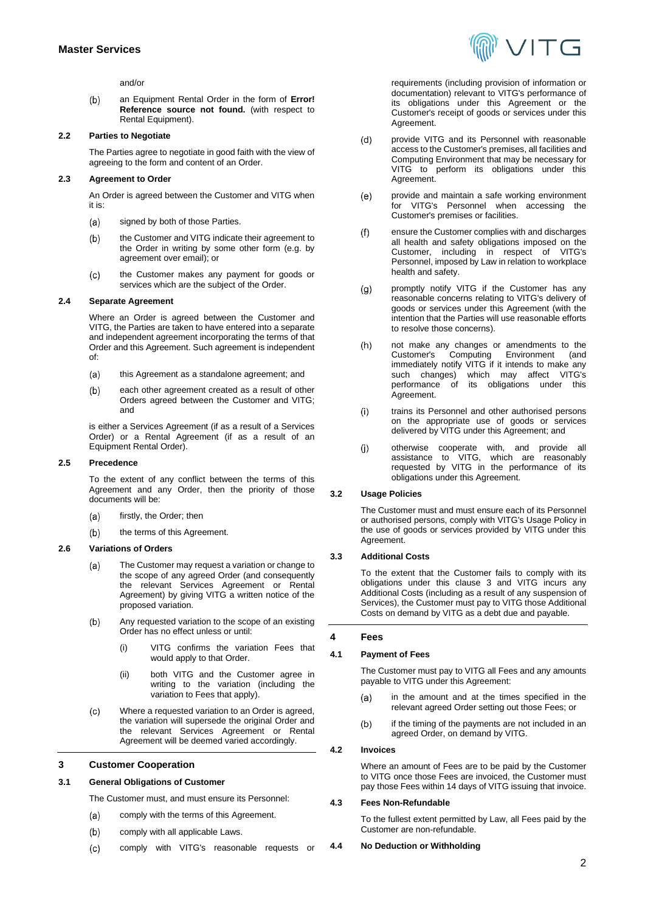and/or

an Equipment Rental Order in the form of **Error!**   $(b)$ **Reference source not found.** (with respect to Rental Equipment).

## **2.2 Parties to Negotiate**

The Parties agree to negotiate in good faith with the view of agreeing to the form and content of an Order.

#### **2.3 Agreement to Order**

An Order is agreed between the Customer and VITG when it is:

- $(a)$ signed by both of those Parties.
- $(b)$ the Customer and VITG indicate their agreement to the Order in writing by some other form (e.g. by agreement over email); or
- $(c)$ the Customer makes any payment for goods or services which are the subject of the Order.

#### <span id="page-1-0"></span>**2.4 Separate Agreement**

Where an Order is agreed between the Customer and VITG, the Parties are taken to have entered into a separate and independent agreement incorporating the terms of that Order and this Agreement. Such agreement is independent of:

- $(a)$ this Agreement as a standalone agreement; and
- each other agreement created as a result of other  $(b)$ Orders agreed between the Customer and VITG; and

is either a Services Agreement (if as a result of a Services Order) or a Rental Agreement (if as a result of an Equipment Rental Order).

#### <span id="page-1-2"></span>**2.5 Precedence**

To the extent of any conflict between the terms of this Agreement and any Order, then the priority of those documents will be:

- firstly, the Order; then  $(a)$
- the terms of this Agreement.  $(b)$

#### **2.6 Variations of Orders**

- $(a)$ The Customer may request a variation or change to the scope of any agreed Order (and consequently the relevant Services Agreement or Rental Agreement) by giving VITG a written notice of the proposed variation.
- $(b)$ Any requested variation to the scope of an existing Order has no effect unless or until:
	- (i) VITG confirms the variation Fees that would apply to that Order.
	- (ii) both VITG and the Customer agree in writing to the variation (including the variation to Fees that apply).
- $(c)$ Where a requested variation to an Order is agreed, the variation will supersede the original Order and the relevant Services Agreement or Rental Agreement will be deemed varied accordingly.

## <span id="page-1-1"></span>**3 Customer Cooperation**

## **3.1 General Obligations of Customer**

The Customer must, and must ensure its Personnel:

- comply with the terms of this Agreement. (a)
- $(b)$ comply with all applicable Laws.
- $(c)$ comply with VITG's reasonable requests or



requirements (including provision of information or documentation) relevant to VITG's performance of its obligations under this Agreement or the Customer's receipt of goods or services under this Agreement.

- provide VITG and its Personnel with reasonable  $(d)$ access to the Customer's premises, all facilities and Computing Environment that may be necessary for VITG to perform its obligations under this Agreement.
- provide and maintain a safe working environment  $(e)$ for VITG's Personnel when accessing the Customer's premises or facilities.
- $(f)$ ensure the Customer complies with and discharges all health and safety obligations imposed on the Customer, including in respect of VITG's Personnel, imposed by Law in relation to workplace health and safety.
- $(g)$ promptly notify VITG if the Customer has any reasonable concerns relating to VITG's delivery of goods or services under this Agreement (with the intention that the Parties will use reasonable efforts to resolve those concerns).
- not make any changes or amendments to the<br>Customer's Computing Environment (and  $(h)$ Computing Environment immediately notify VITG if it intends to make any such changes) which may affect VITG's performance of its obligations under this Agreement.
- $(i)$ trains its Personnel and other authorised persons on the appropriate use of goods or services delivered by VITG under this Agreement; and
- $(i)$ otherwise cooperate with, and provide all assistance to VITG, which are reasonably requested by VITG in the performance of its obligations under this Agreement.

## **3.2 Usage Policies**

The Customer must and must ensure each of its Personnel or authorised persons, comply with VITG's Usage Policy in the use of goods or services provided by VITG under this Agreement.

#### **3.3 Additional Costs**

To the extent that the Customer fails to comply with its obligations under this clause [3](#page-1-1) and VITG incurs any Additional Costs (including as a result of any suspension of Services), the Customer must pay to VITG those Additional Costs on demand by VITG as a debt due and payable.

#### <span id="page-1-3"></span>**4 Fees**

#### **4.1 Payment of Fees**

The Customer must pay to VITG all Fees and any amounts payable to VITG under this Agreement:

- in the amount and at the times specified in the  $(a)$ relevant agreed Order setting out those Fees; or
- $(b)$ if the timing of the payments are not included in an agreed Order, on demand by VITG.

## **4.2 Invoices**

Where an amount of Fees are to be paid by the Customer to VITG once those Fees are invoiced, the Customer must pay those Fees within 14 days of VITG issuing that invoice.

#### **4.3 Fees Non-Refundable**

To the fullest extent permitted by Law, all Fees paid by the Customer are non-refundable.

#### **4.4 No Deduction or Withholding**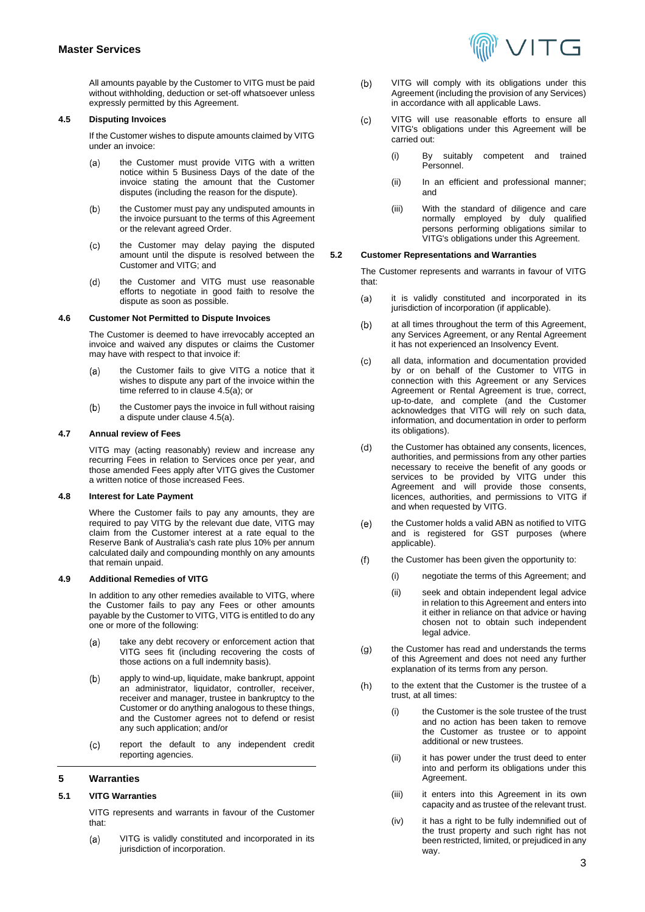All amounts payable by the Customer to VITG must be paid without withholding, deduction or set-off whatsoever unless expressly permitted by this Agreement.

## **4.5 Disputing Invoices**

If the Customer wishes to dispute amounts claimed by VITG under an invoice:

- <span id="page-2-0"></span>the Customer must provide VITG with a written  $(a)$ notice within 5 Business Days of the date of the invoice stating the amount that the Customer disputes (including the reason for the dispute).
- the Customer must pay any undisputed amounts in  $(b)$ the invoice pursuant to the terms of this Agreement or the relevant agreed Order.
- the Customer may delay paying the disputed  $(c)$ amount until the dispute is resolved between the Customer and VITG; and
- the Customer and VITG must use reasonable  $(d)$ efforts to negotiate in good faith to resolve the dispute as soon as possible.

#### **4.6 Customer Not Permitted to Dispute Invoices**

The Customer is deemed to have irrevocably accepted an invoice and waived any disputes or claims the Customer may have with respect to that invoice if:

- the Customer fails to give VITG a notice that it  $(a)$ wishes to dispute any part of the invoice within the time referred to in clause [4.5\(a\);](#page-2-0) or
- $(b)$ the Customer pays the invoice in full without raising a dispute under claus[e 4.5\(a\).](#page-2-0)

#### **4.7 Annual review of Fees**

VITG may (acting reasonably) review and increase any recurring Fees in relation to Services once per year, and those amended Fees apply after VITG gives the Customer a written notice of those increased Fees.

## **4.8 Interest for Late Payment**

Where the Customer fails to pay any amounts, they are required to pay VITG by the relevant due date, VITG may claim from the Customer interest at a rate equal to the Reserve Bank of Australia's cash rate plus 10% per annum calculated daily and compounding monthly on any amounts that remain unpaid.

#### **4.9 Additional Remedies of VITG**

In addition to any other remedies available to VITG, where the Customer fails to pay any Fees or other amounts payable by the Customer to VITG, VITG is entitled to do any one or more of the following:

- $(a)$ take any debt recovery or enforcement action that VITG sees fit (including recovering the costs of those actions on a full indemnity basis).
- apply to wind-up, liquidate, make bankrupt, appoint  $(b)$ an administrator, liquidator, controller, receiver, receiver and manager, trustee in bankruptcy to the Customer or do anything analogous to these things, and the Customer agrees not to defend or resist any such application; and/or
- report the default to any independent credit  $(c)$ reporting agencies.

#### <span id="page-2-1"></span>**5 Warranties**

#### **5.1 VITG Warranties**

VITG represents and warrants in favour of the Customer that:

VITG is validly constituted and incorporated in its  $(a)$ jurisdiction of incorporation.

- $(b)$ VITG will comply with its obligations under this Agreement (including the provision of any Services) in accordance with all applicable Laws.
- VITG will use reasonable efforts to ensure all  $(c)$ VITG's obligations under this Agreement will be carried out:
	- (i) By suitably competent and trained Personnel.
	- (ii) In an efficient and professional manner; and
	- (iii) With the standard of diligence and care normally employed by duly qualified persons performing obligations similar to VITG's obligations under this Agreement.

#### **5.2 Customer Representations and Warranties**

The Customer represents and warrants in favour of VITG that:

- it is validly constituted and incorporated in its  $(a)$ jurisdiction of incorporation (if applicable).
- at all times throughout the term of this Agreement,  $(b)$ any Services Agreement, or any Rental Agreement it has not experienced an Insolvency Event.
- all data, information and documentation provided  $(c)$ by or on behalf of the Customer to VITG in connection with this Agreement or any Services Agreement or Rental Agreement is true, correct, up-to-date, and complete (and the Customer acknowledges that VITG will rely on such data, information, and documentation in order to perform its obligations).
- the Customer has obtained any consents, licences,  $(d)$ authorities, and permissions from any other parties necessary to receive the benefit of any goods or services to be provided by VITG under this Agreement and will provide those consents, licences, authorities, and permissions to VITG if and when requested by VITG.
- $(e)$ the Customer holds a valid ABN as notified to VITG and is registered for GST purposes (where applicable).
- $(f)$ the Customer has been given the opportunity to:
	- (i) negotiate the terms of this Agreement; and
	- (ii) seek and obtain independent legal advice in relation to this Agreement and enters into it either in reliance on that advice or having chosen not to obtain such independent legal advice.
- $(g)$ the Customer has read and understands the terms of this Agreement and does not need any further explanation of its terms from any person.
- $(h)$ to the extent that the Customer is the trustee of a trust, at all times:
	- (i) the Customer is the sole trustee of the trust and no action has been taken to remove the Customer as trustee or to appoint additional or new trustees.
	- (ii) it has power under the trust deed to enter into and perform its obligations under this Agreement.
	- (iii) it enters into this Agreement in its own capacity and as trustee of the relevant trust.
	- (iv) it has a right to be fully indemnified out of the trust property and such right has not been restricted, limited, or prejudiced in any way.

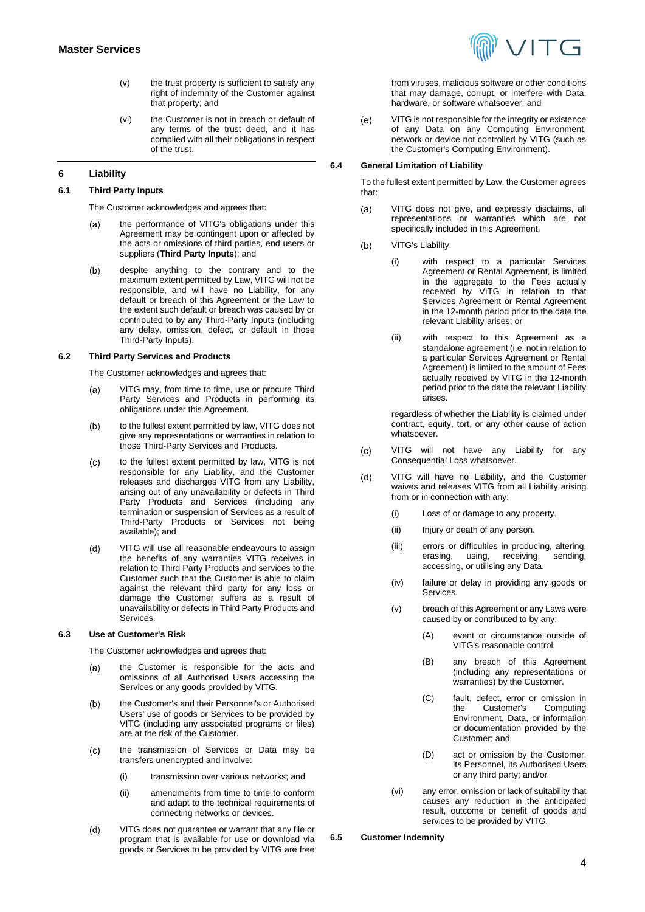VITG

- (v) the trust property is sufficient to satisfy any right of indemnity of the Customer against that property; and
- (vi) the Customer is not in breach or default of any terms of the trust deed, and it has complied with all their obligations in respect of the trust.

## <span id="page-3-2"></span>**6 Liability**

#### <span id="page-3-0"></span>**6.1 Third Party Inputs**

The Customer acknowledges and agrees that:

- the performance of VITG's obligations under this  $(a)$ Agreement may be contingent upon or affected by the acts or omissions of third parties, end users or suppliers (**Third Party Inputs**); and
- despite anything to the contrary and to the  $(b)$ maximum extent permitted by Law, VITG will not be responsible, and will have no Liability, for any default or breach of this Agreement or the Law to the extent such default or breach was caused by or contributed to by any Third-Party Inputs (including any delay, omission, defect, or default in those Third-Party Inputs).

## **6.2 Third Party Services and Products**

The Customer acknowledges and agrees that:

- VITG may, from time to time, use or procure Third  $(a)$ Party Services and Products in performing its obligations under this Agreement.
- to the fullest extent permitted by law, VITG does not  $(b)$ give any representations or warranties in relation to those Third-Party Services and Products.
- $(c)$ to the fullest extent permitted by law, VITG is not responsible for any Liability, and the Customer releases and discharges VITG from any Liability, arising out of any unavailability or defects in Third Party Products and Services (including any termination or suspension of Services as a result of Third-Party Products or Services not being available); and
- VITG will use all reasonable endeavours to assign  $(d)$ the benefits of any warranties VITG receives in relation to Third Party Products and services to the Customer such that the Customer is able to claim against the relevant third party for any loss or damage the Customer suffers as a result of unavailability or defects in Third Party Products and **Services**

## **6.3 Use at Customer's Risk**

The Customer acknowledges and agrees that:

- the Customer is responsible for the acts and  $(a)$ omissions of all Authorised Users accessing the Services or any goods provided by VITG.
- $(b)$ the Customer's and their Personnel's or Authorised Users' use of goods or Services to be provided by VITG (including any associated programs or files) are at the risk of the Customer.
- $(c)$ the transmission of Services or Data may be transfers unencrypted and involve:
	- (i) transmission over various networks; and
	- (ii) amendments from time to time to conform and adapt to the technical requirements of connecting networks or devices.
- $(d)$ VITG does not guarantee or warrant that any file or program that is available for use or download via goods or Services to be provided by VITG are free

from viruses, malicious software or other conditions that may damage, corrupt, or interfere with Data, hardware, or software whatsoever; and

VITG is not responsible for the integrity or existence  $(e)$ of any Data on any Computing Environment, network or device not controlled by VITG (such as the Customer's Computing Environment).

#### **6.4 General Limitation of Liability**

To the fullest extent permitted by Law, the Customer agrees that:

- $(a)$ VITG does not give, and expressly disclaims, all representations or warranties which are not specifically included in this Agreement.
- VITG's Liability:  $(b)$ 
	- (i) with respect to a particular Services Agreement or Rental Agreement, is limited in the aggregate to the Fees actually received by VITG in relation to that Services Agreement or Rental Agreement in the 12-month period prior to the date the relevant Liability arises; or
	- (ii) with respect to this Agreement as a standalone agreement (i.e. not in relation to a particular Services Agreement or Rental Agreement) is limited to the amount of Fees actually received by VITG in the 12-month period prior to the date the relevant Liability arises.

regardless of whether the Liability is claimed under contract, equity, tort, or any other cause of action whatsoever.

- VITG will not have any Liability for any  $(c)$ Consequential Loss whatsoever.
- $(d)$ VITG will have no Liability, and the Customer waives and releases VITG from all Liability arising from or in connection with any:
	- (i) Loss of or damage to any property.
	- (ii) Injury or death of any person.
	- (iii) errors or difficulties in producing, altering, erasing, using, receiving, sending, accessing, or utilising any Data.
	- (iv) failure or delay in providing any goods or Services.
	- (v) breach of this Agreement or any Laws were caused by or contributed to by any:
		- (A) event or circumstance outside of VITG's reasonable control.
		- (B) any breach of this Agreement (including any representations or warranties) by the Customer.
		- (C) fault, defect, error or omission in Customer's Environment, Data, or information or documentation provided by the Customer; and
		- (D) act or omission by the Customer, its Personnel, its Authorised Users or any third party; and/or
	- (vi) any error, omission or lack of suitability that causes any reduction in the anticipated result, outcome or benefit of goods and services to be provided by VITG.
- <span id="page-3-1"></span>**6.5 Customer Indemnity**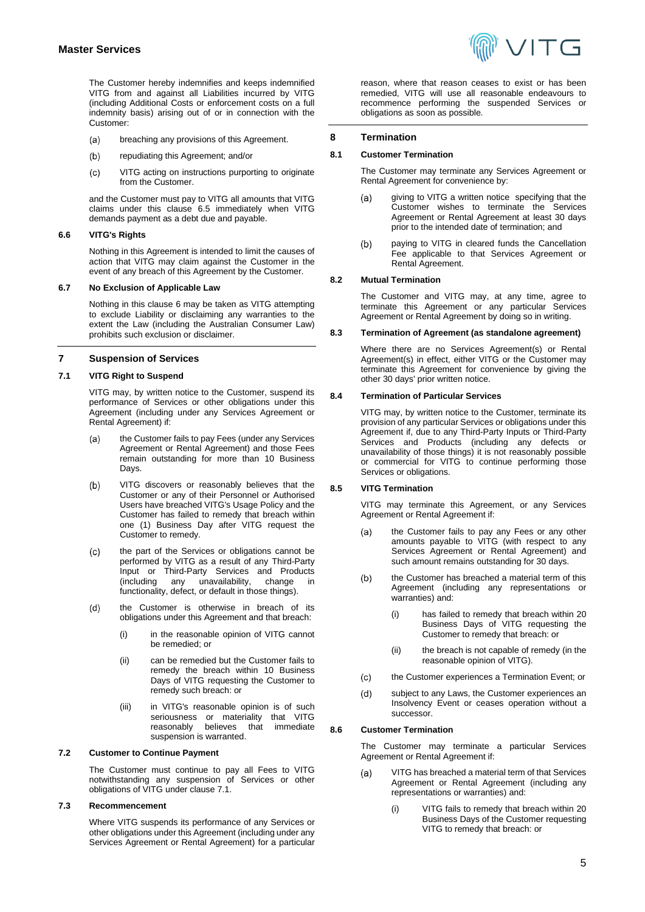The Customer hereby indemnifies and keeps indemnified VITG from and against all Liabilities incurred by VITG (including Additional Costs or enforcement costs on a full indemnity basis) arising out of or in connection with the Customer:

- breaching any provisions of this Agreement.  $(a)$
- repudiating this Agreement; and/or  $(b)$
- VITG acting on instructions purporting to originate  $(c)$ from the Customer.

and the Customer must pay to VITG all amounts that VITG claims under this clause [6.5](#page-3-1) immediately when VITG demands payment as a debt due and payable.

## **6.6 VITG's Rights**

Nothing in this Agreement is intended to limit the causes of action that VITG may claim against the Customer in the event of any breach of this Agreement by the Customer.

#### **6.7 No Exclusion of Applicable Law**

Nothing in this clause [6](#page-3-2) may be taken as VITG attempting to exclude Liability or disclaiming any warranties to the extent the Law (including the Australian Consumer Law) prohibits such exclusion or disclaimer.

#### **7 Suspension of Services**

## <span id="page-4-0"></span>**7.1 VITG Right to Suspend**

VITG may, by written notice to the Customer, suspend its performance of Services or other obligations under this Agreement (including under any Services Agreement or Rental Agreement) if:

- the Customer fails to pay Fees (under any Services (a) Agreement or Rental Agreement) and those Fees remain outstanding for more than 10 Business Days.
- VITG discovers or reasonably believes that the  $(b)$ Customer or any of their Personnel or Authorised Users have breached VITG's Usage Policy and the Customer has failed to remedy that breach within one (1) Business Day after VITG request the Customer to remedy.
- the part of the Services or obligations cannot be  $(c)$ performed by VITG as a result of any Third-Party Input or Third-Party Services and Products unavailability, change in functionality, defect, or default in those things).
- $(d)$ the Customer is otherwise in breach of its obligations under this Agreement and that breach:
	- (i) in the reasonable opinion of VITG cannot be remedied; or
	- (ii) can be remedied but the Customer fails to remedy the breach within 10 Business Days of VITG requesting the Customer to remedy such breach: or
	- (iii) in VITG's reasonable opinion is of such seriousness or materiality that VITG reasonably believes that immediate suspension is warranted.

## **7.2 Customer to Continue Payment**

The Customer must continue to pay all Fees to VITG notwithstanding any suspension of Services or other obligations of VITG under claus[e 7.1.](#page-4-0)

#### **7.3 Recommencement**

Where VITG suspends its performance of any Services or other obligations under this Agreement (including under any Services Agreement or Rental Agreement) for a particular reason, where that reason ceases to exist or has been remedied, VITG will use all reasonable endeavours to recommence performing the suspended Services or obligations as soon as possible.

#### **8 Termination**

#### **8.1 Customer Termination**

The Customer may terminate any Services Agreement or Rental Agreement for convenience by:

- giving to VITG a written notice specifying that the  $(a)$ Customer wishes to terminate the Services Agreement or Rental Agreement at least 30 days prior to the intended date of termination; and
- $(b)$ paying to VITG in cleared funds the Cancellation Fee applicable to that Services Agreement or Rental Agreement.

#### **8.2 Mutual Termination**

The Customer and VITG may, at any time, agree to terminate this Agreement or any particular Services Agreement or Rental Agreement by doing so in writing.

#### **8.3 Termination of Agreement (as standalone agreement)**

Where there are no Services Agreement(s) or Rental Agreement(s) in effect, either VITG or the Customer may terminate this Agreement for convenience by giving the other 30 days' prior written notice.

#### <span id="page-4-1"></span>**8.4 Termination of Particular Services**

VITG may, by written notice to the Customer, terminate its provision of any particular Services or obligations under this Agreement if, due to any Third-Party Inputs or Third-Party Services and Products (including any defects or unavailability of those things) it is not reasonably possible or commercial for VITG to continue performing those Services or obligations.

#### **8.5 VITG Termination**

VITG may terminate this Agreement, or any Services Agreement or Rental Agreement if:

- the Customer fails to pay any Fees or any other  $(a)$ amounts payable to VITG (with respect to any Services Agreement or Rental Agreement) and such amount remains outstanding for 30 days.
- $(b)$ the Customer has breached a material term of this Agreement (including any representations or warranties) and:
	- (i) has failed to remedy that breach within 20 Business Days of VITG requesting the Customer to remedy that breach: or
	- (ii) the breach is not capable of remedy (in the reasonable opinion of VITG).
- $(c)$ the Customer experiences a Termination Event; or
- $(d)$ subject to any Laws, the Customer experiences an Insolvency Event or ceases operation without a successor.

#### <span id="page-4-2"></span>**8.6 Customer Termination**

The Customer may terminate a particular Services Agreement or Rental Agreement if:

- VITG has breached a material term of that Services  $(a)$ Agreement or Rental Agreement (including any representations or warranties) and:
	- (i) VITG fails to remedy that breach within 20 Business Days of the Customer requesting VITG to remedy that breach: or

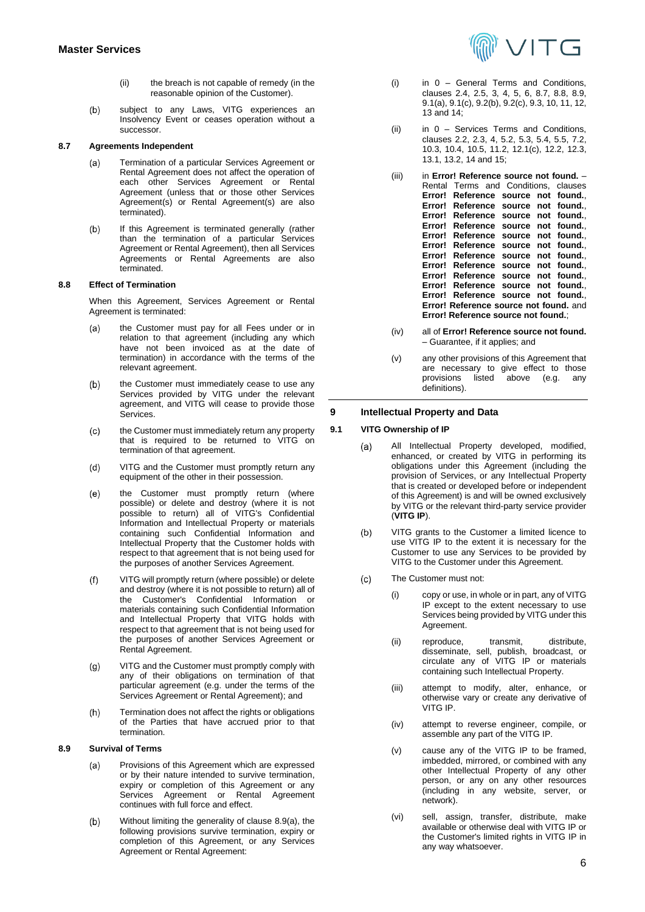- (ii) the breach is not capable of remedy (in the reasonable opinion of the Customer).
- $(b)$ subject to any Laws, VITG experiences an Insolvency Event or ceases operation without a successor.

#### <span id="page-5-1"></span>**8.7 Agreements Independent**

- Termination of a particular Services Agreement or  $(a)$ Rental Agreement does not affect the operation of each other Services Agreement or Rental Agreement (unless that or those other Services Agreement(s) or Rental Agreement(s) are also terminated).
- If this Agreement is terminated generally (rather  $(b)$ than the termination of a particular Services Agreement or Rental Agreement), then all Services Agreements or Rental Agreements are also terminated.

#### <span id="page-5-2"></span>**8.8 Effect of Termination**

When this Agreement, Services Agreement or Rental Agreement is terminated:

- the Customer must pay for all Fees under or in  $(a)$ relation to that agreement (including any which have not been invoiced as at the date of termination) in accordance with the terms of the relevant agreement.
- $(b)$ the Customer must immediately cease to use any Services provided by VITG under the relevant agreement, and VITG will cease to provide those Services.
- $(c)$ the Customer must immediately return any property that is required to be returned to VITG on termination of that agreement.
- VITG and the Customer must promptly return any  $(d)$ equipment of the other in their possession.
- the Customer must promptly return (where  $(e)$ possible) or delete and destroy (where it is not possible to return) all of VITG's Confidential Information and Intellectual Property or materials containing such Confidential Information and Intellectual Property that the Customer holds with respect to that agreement that is not being used for the purposes of another Services Agreement.
- VITG will promptly return (where possible) or delete  $(f)$ and destroy (where it is not possible to return) all of the Customer's Confidential Information or materials containing such Confidential Information and Intellectual Property that VITG holds with respect to that agreement that is not being used for the purposes of another Services Agreement or Rental Agreement.
- $(g)$ VITG and the Customer must promptly comply with any of their obligations on termination of that particular agreement (e.g. under the terms of the Services Agreement or Rental Agreement); and
- Termination does not affect the rights or obligations  $(h)$ of the Parties that have accrued prior to that termination.

## <span id="page-5-3"></span><span id="page-5-0"></span>**8.9 Survival of Terms**

- Provisions of this Agreement which are expressed  $(a)$ or by their nature intended to survive termination, expiry or completion of this Agreement or any Services Agreement or Rental Agreement continues with full force and effect.
- Without limiting the generality of claus[e 8.9\(a\),](#page-5-0) the  $(b)$ following provisions survive termination, expiry or completion of this Agreement, or any Services Agreement or Rental Agreement:



- (i) in [0](#page-0-0) General Terms and Conditions, clauses [2.4,](#page-1-0) [2.5,](#page-1-2) [3,](#page-1-1) [4,](#page-1-3) [5,](#page-2-1) [6,](#page-3-2) [8.7,](#page-5-1) [8.8,](#page-5-2) [8.9,](#page-5-3) [9.1\(a\),](#page-5-4) [9.1\(c\),](#page-5-5) [9.2\(b\),](#page-6-0) [9.2\(c\),](#page-6-1) [9.3,](#page-6-2) [10,](#page-6-3) [11,](#page-6-4) [12,](#page-7-0) [13](#page-8-0) an[d 14;](#page-9-0)
- (ii) in [0](#page-13-0) Services Terms and Conditions, clauses [2.2,](#page-13-1) [2.3,](#page-13-2) [4,](#page-14-0) [5.2,](#page-14-1) [5.3,](#page-14-2) [5.4,](#page-14-3) [5.5,](#page-14-4) [7.2,](#page-15-0) [10.3,](#page-15-1) [10.4,](#page-16-0) [10.5,](#page-16-1) [11.2,](#page-16-2) [12.1\(c\),](#page-16-3) [12.2,](#page-16-4) [12.3,](#page-16-5) [13.1,](#page-17-0) [13.2,](#page-17-1) [14](#page-17-2) an[d 15;](#page-17-3)
- (iii) in **Error! Reference source not found.** Rental Terms and Conditions, clauses **Error! Reference source not found.**, **Error! Reference source not found.**, **Error! Reference source not found.**, **Error! Reference source not found.**, **Error! Reference source not Error! Reference source not found.**, **Error! Reference source not Error! Reference source not found.**, **Error! Reference source not found.**, **Error! Reference source not found.**, **Error! Reference source not found.**, **Error! Reference source not found.** and **Error! Reference source not found.**;
- (iv) all of **Error! Reference source not found.** – Guarantee, if it applies; and
- (v) any other provisions of this Agreement that are necessary to give effect to those<br>provisions listed above (e.g. anv  $above$  (e.g. definitions).

#### **9 Intellectual Property and Data**

#### <span id="page-5-4"></span>**9.1 VITG Ownership of IP**

- $(a)$ All Intellectual Property developed, modified, enhanced, or created by VITG in performing its obligations under this Agreement (including the provision of Services, or any Intellectual Property that is created or developed before or independent of this Agreement) is and will be owned exclusively by VITG or the relevant third-party service provider (**VITG IP**).
- VITG grants to the Customer a limited licence to  $(b)$ use VITG IP to the extent it is necessary for the Customer to use any Services to be provided by VITG to the Customer under this Agreement.
- <span id="page-5-5"></span>The Customer must not:  $(c)$ 
	- (i) copy or use, in whole or in part, any of VITG IP except to the extent necessary to use Services being provided by VITG under this Agreement.
	- (ii) reproduce, transmit, distribute, disseminate, sell, publish, broadcast, or circulate any of VITG IP or materials containing such Intellectual Property.
	- (iii) attempt to modify, alter, enhance, or otherwise vary or create any derivative of VITG IP.
	- (iv) attempt to reverse engineer, compile, or assemble any part of the VITG IP.
	- (v) cause any of the VITG IP to be framed, imbedded, mirrored, or combined with any other Intellectual Property of any other person, or any on any other resources (including in any website, server, or network).
	- (vi) sell, assign, transfer, distribute, make available or otherwise deal with VITG IP or the Customer's limited rights in VITG IP in any way whatsoever.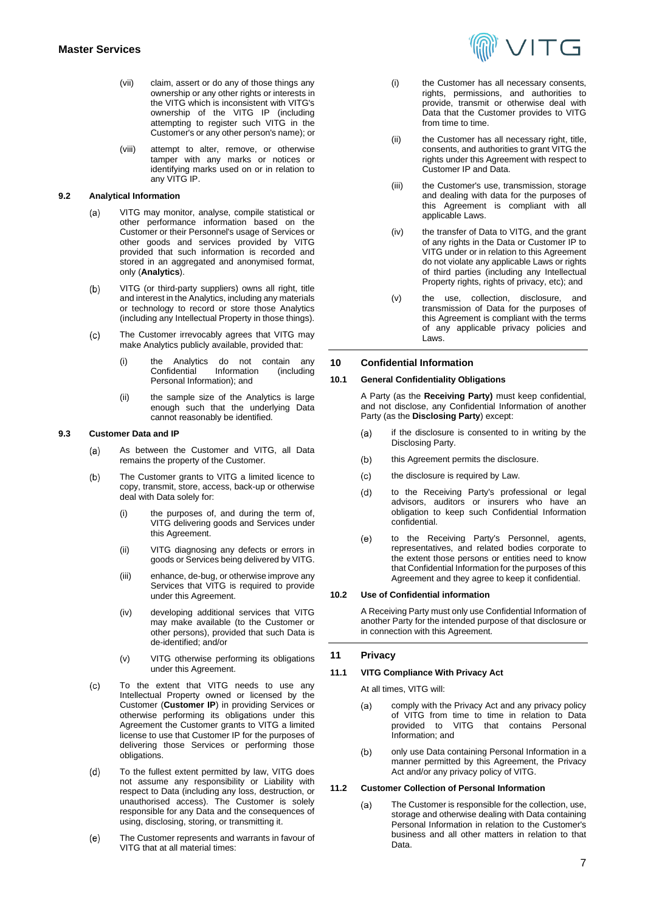- (vii) claim, assert or do any of those things any ownership or any other rights or interests in the VITG which is inconsistent with VITG's ownership of the VITG IP (including attempting to register such VITG in the Customer's or any other person's name); or
- (viii) attempt to alter, remove, or otherwise tamper with any marks or notices or identifying marks used on or in relation to any VITG IP.

## **9.2 Analytical Information**

- VITG may monitor, analyse, compile statistical or  $(a)$ other performance information based on the Customer or their Personnel's usage of Services or other goods and services provided by VITG provided that such information is recorded and stored in an aggregated and anonymised format, only (**Analytics**).
- <span id="page-6-0"></span> $(b)$ VITG (or third-party suppliers) owns all right, title and interest in the Analytics, including any materials or technology to record or store those Analytics (including any Intellectual Property in those things).
- <span id="page-6-1"></span>The Customer irrevocably agrees that VITG may  $(c)$ make Analytics publicly available, provided that:
	- (i) the Analytics do not contain any<br>Confidential Information (including Confidential Personal Information); and
	- (ii) the sample size of the Analytics is large enough such that the underlying Data cannot reasonably be identified.

#### <span id="page-6-2"></span>**9.3 Customer Data and IP**

- As between the Customer and VITG, all Data (a) remains the property of the Customer.
- The Customer grants to VITG a limited licence to  $(b)$ copy, transmit, store, access, back-up or otherwise deal with Data solely for:
	- (i) the purposes of, and during the term of, VITG delivering goods and Services under this Agreement.
	- (ii) VITG diagnosing any defects or errors in goods or Services being delivered by VITG.
	- (iii) enhance, de-bug, or otherwise improve any Services that VITG is required to provide under this Agreement.
	- (iv) developing additional services that VITG may make available (to the Customer or other persons), provided that such Data is de-identified; and/or
	- (v) VITG otherwise performing its obligations under this Agreement.
- To the extent that VITG needs to use any  $(c)$ Intellectual Property owned or licensed by the Customer (**Customer IP**) in providing Services or otherwise performing its obligations under this Agreement the Customer grants to VITG a limited license to use that Customer IP for the purposes of delivering those Services or performing those obligations.
- $(d)$ To the fullest extent permitted by law, VITG does not assume any responsibility or Liability with respect to Data (including any loss, destruction, or unauthorised access). The Customer is solely responsible for any Data and the consequences of using, disclosing, storing, or transmitting it.
- The Customer represents and warrants in favour of  $(e)$ VITG that at all material times:



- (i) the Customer has all necessary consents, rights, permissions, and authorities to provide, transmit or otherwise deal with Data that the Customer provides to VITG from time to time.
- (ii) the Customer has all necessary right, title, consents, and authorities to grant VITG the rights under this Agreement with respect to Customer IP and Data.
- (iii) the Customer's use, transmission, storage and dealing with data for the purposes of this Agreement is compliant with all applicable Laws.
- (iv) the transfer of Data to VITG, and the grant of any rights in the Data or Customer IP to VITG under or in relation to this Agreement do not violate any applicable Laws or rights of third parties (including any Intellectual Property rights, rights of privacy, etc); and
- (v) the use, collection, disclosure, and transmission of Data for the purposes of this Agreement is compliant with the terms of any applicable privacy policies and Laws.

## <span id="page-6-3"></span>**10 Confidential Information**

#### **10.1 General Confidentiality Obligations**

A Party (as the **Receiving Party)** must keep confidential, and not disclose, any Confidential Information of another Party (as the **Disclosing Party**) except:

- if the disclosure is consented to in writing by the  $(a)$ Disclosing Party.
- this Agreement permits the disclosure.  $(b)$
- the disclosure is required by Law.  $(c)$
- $(d)$ to the Receiving Party's professional or legal advisors, auditors or insurers who have an obligation to keep such Confidential Information confidential.
- $(e)$ to the Receiving Party's Personnel, agents, representatives, and related bodies corporate to the extent those persons or entities need to know that Confidential Information for the purposes of this Agreement and they agree to keep it confidential.

#### **10.2 Use of Confidential information**

A Receiving Party must only use Confidential Information of another Party for the intended purpose of that disclosure or in connection with this Agreement.

## <span id="page-6-4"></span>**11 Privacy**

#### **11.1 VITG Compliance With Privacy Act**

At all times, VITG will:

- comply with the Privacy Act and any privacy policy  $(a)$ of VITG from time to time in relation to Data provided to VITG that contains Personal Information; and
- $(b)$ only use Data containing Personal Information in a manner permitted by this Agreement, the Privacy Act and/or any privacy policy of VITG.

## **11.2 Customer Collection of Personal Information**

 $(a)$ The Customer is responsible for the collection, use, storage and otherwise dealing with Data containing Personal Information in relation to the Customer's business and all other matters in relation to that Data.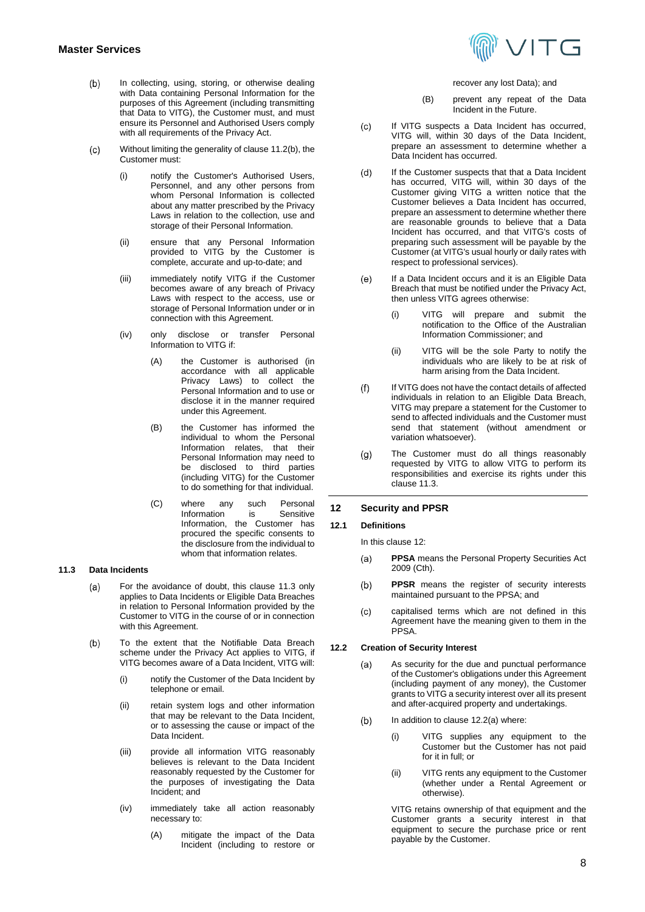- <span id="page-7-1"></span>In collecting, using, storing, or otherwise dealing  $(b)$ with Data containing Personal Information for the purposes of this Agreement (including transmitting that Data to VITG), the Customer must, and must ensure its Personnel and Authorised Users comply with all requirements of the Privacy Act.
- $(c)$ Without limiting the generality of claus[e 11.2\(b\),](#page-7-1) the Customer must:
	- (i) notify the Customer's Authorised Users, Personnel, and any other persons from whom Personal Information is collected about any matter prescribed by the Privacy Laws in relation to the collection, use and storage of their Personal Information.
	- (ii) ensure that any Personal Information provided to VITG by the Customer is complete, accurate and up-to-date; and
	- (iii) immediately notify VITG if the Customer becomes aware of any breach of Privacy Laws with respect to the access, use or storage of Personal Information under or in connection with this Agreement.
	- (iv) only disclose or transfer Personal Information to VITG if:
		- (A) the Customer is authorised (in accordance with all applicable Privacy Laws) to collect the Personal Information and to use or disclose it in the manner required under this Agreement.
		- (B) the Customer has informed the individual to whom the Personal Information relates, that their Personal Information may need to be disclosed to third parties (including VITG) for the Customer to do something for that individual.
		- (C) where any such Personal<br>Information is Sensitive Information Information, the Customer has procured the specific consents to the disclosure from the individual to whom that information relates.

#### <span id="page-7-2"></span>**11.3 Data Incidents**

- For the avoidance of doubt, this clause [11.3](#page-7-2) only  $(a)$ applies to Data Incidents or Eligible Data Breaches in relation to Personal Information provided by the Customer to VITG in the course of or in connection with this Agreement.
- To the extent that the Notifiable Data Breach  $(b)$ scheme under the Privacy Act applies to VITG, if VITG becomes aware of a Data Incident, VITG will:
	- (i) notify the Customer of the Data Incident by telephone or email.
	- (ii) retain system logs and other information that may be relevant to the Data Incident, or to assessing the cause or impact of the Data Incident.
	- (iii) provide all information VITG reasonably believes is relevant to the Data Incident reasonably requested by the Customer for the purposes of investigating the Data Incident; and
	- (iv) immediately take all action reasonably necessary to:
		- (A) mitigate the impact of the Data Incident (including to restore or



#### recover any lost Data); and

- (B) prevent any repeat of the Data Incident in the Future.
- $(c)$ If VITG suspects a Data Incident has occurred, VITG will, within 30 days of the Data Incident, prepare an assessment to determine whether a Data Incident has occurred.
- If the Customer suspects that that a Data Incident  $(d)$ has occurred, VITG will, within 30 days of the Customer giving VITG a written notice that the Customer believes a Data Incident has occurred, prepare an assessment to determine whether there are reasonable grounds to believe that a Data Incident has occurred, and that VITG's costs of preparing such assessment will be payable by the Customer (at VITG's usual hourly or daily rates with respect to professional services).
- $(e)$ If a Data Incident occurs and it is an Eligible Data Breach that must be notified under the Privacy Act, then unless VITG agrees otherwise:
	- (i) VITG will prepare and submit the notification to the Office of the Australian Information Commissioner; and
	- (ii) VITG will be the sole Party to notify the individuals who are likely to be at risk of harm arising from the Data Incident.
- $(f)$ If VITG does not have the contact details of affected individuals in relation to an Eligible Data Breach, VITG may prepare a statement for the Customer to send to affected individuals and the Customer must send that statement (without amendment or variation whatsoever).
- The Customer must do all things reasonably  $(g)$ requested by VITG to allow VITG to perform its responsibilities and exercise its rights under this clause [11.3.](#page-7-2)

## <span id="page-7-0"></span>**12 Security and PPSR**

## **12.1 Definitions**

In this clause [12:](#page-7-0)

- **PPSA** means the Personal Property Securities Act  $(a)$ 2009 (Cth).
- **PPSR** means the register of security interests  $(b)$ maintained pursuant to the PPSA; and
- capitalised terms which are not defined in this  $(c)$ Agreement have the meaning given to them in the PPSA.

#### <span id="page-7-3"></span>**12.2 Creation of Security Interest**

- As security for the due and punctual performance  $(a)$ of the Customer's obligations under this Agreement (including payment of any money), the Customer grants to VITG a security interest over all its present and after-acquired property and undertakings.
- <span id="page-7-4"></span>In addition to clause [12.2\(a\)](#page-7-3) where:  $(b)$ 
	- (i) VITG supplies any equipment to the Customer but the Customer has not paid for it in full; or
	- (ii) VITG rents any equipment to the Customer (whether under a Rental Agreement or otherwise).

VITG retains ownership of that equipment and the Customer grants a security interest in that equipment to secure the purchase price or rent payable by the Customer.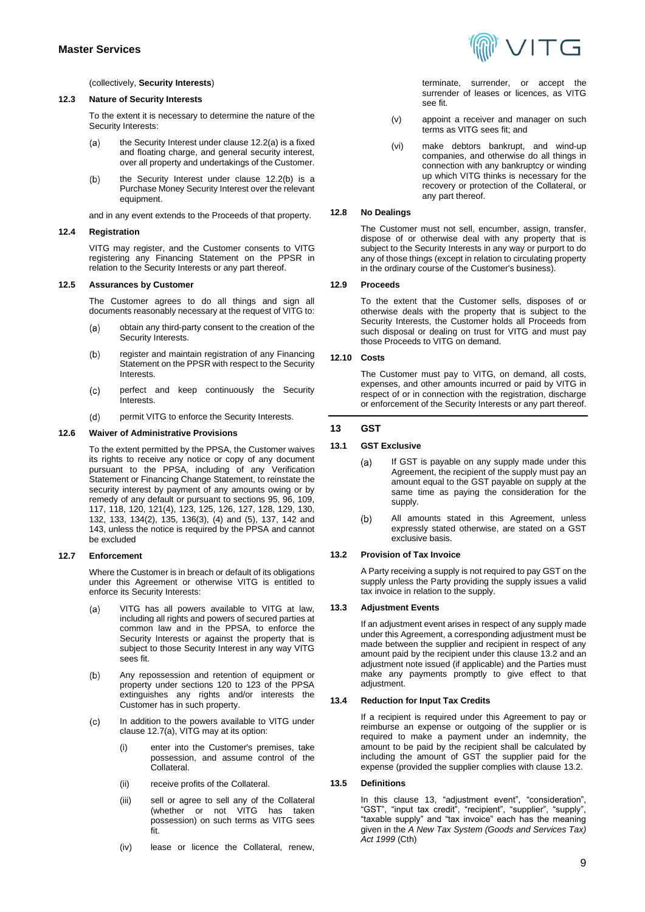#### (collectively, **Security Interests**)

#### **12.3 Nature of Security Interests**

To the extent it is necessary to determine the nature of the Security Interests:

- the Security Interest under claus[e 12.2\(a\)](#page-7-3) is a fixed  $(a)$ and floating charge, and general security interest, over all property and undertakings of the Customer.
- $(b)$ the Security Interest under clause [12.2\(b\)](#page-7-4) is a Purchase Money Security Interest over the relevant equipment.

and in any event extends to the Proceeds of that property.

#### **12.4 Registration**

VITG may register, and the Customer consents to VITG registering any Financing Statement on the PPSR in relation to the Security Interests or any part thereof.

#### **12.5 Assurances by Customer**

The Customer agrees to do all things and sign all documents reasonably necessary at the request of VITG to:

- obtain any third-party consent to the creation of the  $(a)$ Security Interests.
- $(b)$ register and maintain registration of any Financing Statement on the PPSR with respect to the Security Interests.
- perfect and keep continuously the Security  $(c)$ Interests.
- $(d)$ permit VITG to enforce the Security Interests.

## **12.6 Waiver of Administrative Provisions**

To the extent permitted by the PPSA, the Customer waives its rights to receive any notice or copy of any document pursuant to the PPSA, including of any Verification Statement or Financing Change Statement, to reinstate the security interest by payment of any amounts owing or by remedy of any default or pursuant to sections 95, 96, 109, 117, 118, 120, 121(4), 123, 125, 126, 127, 128, 129, 130, 132, 133, 134(2), 135, 136(3), (4) and (5), 137, 142 and 143, unless the notice is required by the PPSA and cannot be excluded

#### **12.7 Enforcement**

Where the Customer is in breach or default of its obligations under this Agreement or otherwise VITG is entitled to enforce its Security Interests:

- <span id="page-8-1"></span>VITG has all powers available to VITG at law,  $(a)$ including all rights and powers of secured parties at common law and in the PPSA, to enforce the Security Interests or against the property that is subject to those Security Interest in any way VITG sees fit.
- $(b)$ Any repossession and retention of equipment or property under sections 120 to 123 of the PPSA extinguishes any rights and/or interests the Customer has in such property.
- In addition to the powers available to VITG under  $(c)$ clause [12.7\(a\),](#page-8-1) VITG may at its option:
	- (i) enter into the Customer's premises, take possession, and assume control of the Collateral.
	- (ii) receive profits of the Collateral.
	- (iii) sell or agree to sell any of the Collateral (whether or not VITG has taken possession) on such terms as VITG sees fit.
	- (iv) lease or licence the Collateral, renew,



terminate, surrender, or accept the surrender of leases or licences, as VITG see fit.

- (v) appoint a receiver and manager on such terms as VITG sees fit; and
- (vi) make debtors bankrupt, and wind-up companies, and otherwise do all things in connection with any bankruptcy or winding up which VITG thinks is necessary for the recovery or protection of the Collateral, or any part thereof.

## **12.8 No Dealings**

The Customer must not sell, encumber, assign, transfer, dispose of or otherwise deal with any property that is subject to the Security Interests in any way or purport to do any of those things (except in relation to circulating property in the ordinary course of the Customer's business).

#### **12.9 Proceeds**

To the extent that the Customer sells, disposes of or otherwise deals with the property that is subject to the Security Interests, the Customer holds all Proceeds from such disposal or dealing on trust for VITG and must pay those Proceeds to VITG on demand.

### **12.10 Costs**

The Customer must pay to VITG, on demand, all costs, expenses, and other amounts incurred or paid by VITG in respect of or in connection with the registration, discharge or enforcement of the Security Interests or any part thereof.

#### <span id="page-8-0"></span>**13 GST**

#### **13.1 GST Exclusive**

- If GST is payable on any supply made under this  $(a)$ Agreement, the recipient of the supply must pay an amount equal to the GST payable on supply at the same time as paying the consideration for the supply.
- $(b)$ All amounts stated in this Agreement, unless expressly stated otherwise, are stated on a GST exclusive basis.

#### <span id="page-8-2"></span>**13.2 Provision of Tax Invoice**

A Party receiving a supply is not required to pay GST on the supply unless the Party providing the supply issues a valid tax invoice in relation to the supply.

#### **13.3 Adjustment Events**

If an adjustment event arises in respect of any supply made under this Agreement, a corresponding adjustment must be made between the supplier and recipient in respect of any amount paid by the recipient under this clause 13.2 and an adjustment note issued (if applicable) and the Parties must make any payments promptly to give effect to that adiustment.

#### **13.4 Reduction for Input Tax Credits**

If a recipient is required under this Agreement to pay or reimburse an expense or outgoing of the supplier or is required to make a payment under an indemnity, the amount to be paid by the recipient shall be calculated by including the amount of GST the supplier paid for the expense (provided the supplier complies with claus[e 13.2.](#page-8-2)

#### **13.5 Definitions**

In this clause [13,](#page-8-0) "adjustment event", "consideration", "GST", "input tax credit", "recipient", "supplier", "supply", "taxable supply" and "tax invoice" each has the meaning given in the *A New Tax System (Goods and Services Tax) Act 1999* (Cth)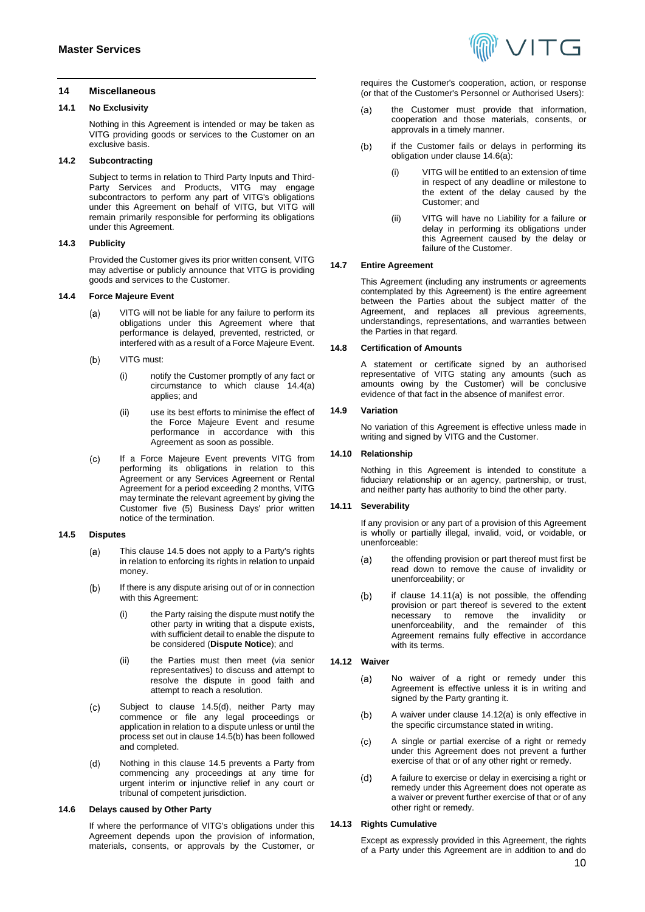#### <span id="page-9-0"></span>**14 Miscellaneous**

#### **14.1 No Exclusivity**

Nothing in this Agreement is intended or may be taken as VITG providing goods or services to the Customer on an exclusive basis.

## **14.2 Subcontracting**

Subject to terms in relation to Third Party Inputs and Third-Party Services and Products, VITG may engage subcontractors to perform any part of VITG's obligations under this Agreement on behalf of VITG, but VITG will remain primarily responsible for performing its obligations under this Agreement.

#### **14.3 Publicity**

Provided the Customer gives its prior written consent, VITG may advertise or publicly announce that VITG is providing goods and services to the Customer.

#### <span id="page-9-1"></span>**14.4 Force Majeure Event**

- VITG will not be liable for any failure to perform its  $(a)$ obligations under this Agreement where that performance is delayed, prevented, restricted, or interfered with as a result of a Force Majeure Event.
- $(b)$ VITG must:
	- (i) notify the Customer promptly of any fact or circumstance to which clause [14.4\(a\)](#page-9-1) applies; and
	- (ii) use its best efforts to minimise the effect of the Force Majeure Event and resume performance in accordance with this Agreement as soon as possible.
- If a Force Majeure Event prevents VITG from  $(c)$ performing its obligations in relation to this Agreement or any Services Agreement or Rental Agreement for a period exceeding 2 months, VITG may terminate the relevant agreement by giving the Customer five (5) Business Days' prior written notice of the termination.

#### <span id="page-9-2"></span>**14.5 Disputes**

- This clause [14.5](#page-9-2) does not apply to a Party's rights  $(a)$ in relation to enforcing its rights in relation to unpaid money.
- <span id="page-9-4"></span>If there is any dispute arising out of or in connection  $(b)$ with this Agreement:
	- (i) the Party raising the dispute must notify the other party in writing that a dispute exists, with sufficient detail to enable the dispute to be considered (**Dispute Notice**); and
	- (ii) the Parties must then meet (via senior representatives) to discuss and attempt to resolve the dispute in good faith and attempt to reach a resolution.
- Subject to clause [14.5\(d\),](#page-9-3) neither Party may  $(c)$ commence or file any legal proceedings or application in relation to a dispute unless or until the process set out in claus[e 14.5\(b\)](#page-9-4) has been followed and completed.
- <span id="page-9-3"></span> $(d)$ Nothing in this clause [14.5](#page-9-2) prevents a Party from commencing any proceedings at any time for urgent interim or injunctive relief in any court or tribunal of competent jurisdiction.

## **14.6 Delays caused by Other Party**

If where the performance of VITG's obligations under this Agreement depends upon the provision of information, materials, consents, or approvals by the Customer, or



requires the Customer's cooperation, action, or response (or that of the Customer's Personnel or Authorised Users):

- <span id="page-9-5"></span>the Customer must provide that information,  $(a)$ cooperation and those materials, consents, or approvals in a timely manner.
- $(b)$ if the Customer fails or delays in performing its obligation under clause [14.6\(a\):](#page-9-5) 
	- (i) VITG will be entitled to an extension of time in respect of any deadline or milestone to the extent of the delay caused by the Customer; and
	- (ii) VITG will have no Liability for a failure or delay in performing its obligations under this Agreement caused by the delay or failure of the Customer.

## **14.7 Entire Agreement**

This Agreement (including any instruments or agreements contemplated by this Agreement) is the entire agreement between the Parties about the subject matter of the Agreement, and replaces all previous agreements, understandings, representations, and warranties between the Parties in that regard.

#### **14.8 Certification of Amounts**

A statement or certificate signed by an authorised representative of VITG stating any amounts (such as amounts owing by the Customer) will be conclusive evidence of that fact in the absence of manifest error.

#### **14.9 Variation**

No variation of this Agreement is effective unless made in writing and signed by VITG and the Customer.

### **14.10 Relationship**

Nothing in this Agreement is intended to constitute a fiduciary relationship or an agency, partnership, or trust, and neither party has authority to bind the other party.

#### **14.11 Severability**

If any provision or any part of a provision of this Agreement is wholly or partially illegal, invalid, void, or voidable, or unenforceable:

- <span id="page-9-6"></span>the offending provision or part thereof must first be  $(a)$ read down to remove the cause of invalidity or unenforceability; or
- $(b)$ if clause [14.11\(a\)](#page-9-6) is not possible, the offending provision or part thereof is severed to the extent<br>necessary to remove the invalidity or necessary to remove the invalidity or<br>unenforceability and the remainder of this unenforceability, and the remainder of Agreement remains fully effective in accordance with its terms.

#### <span id="page-9-7"></span>**14.12 Waiver**

- $(a)$ No waiver of a right or remedy under this Agreement is effective unless it is in writing and signed by the Party granting it.
- $(b)$ A waiver under clause [14.12\(a\)](#page-9-7) is only effective in the specific circumstance stated in writing.
- A single or partial exercise of a right or remedy  $(c)$ under this Agreement does not prevent a further exercise of that or of any other right or remedy.
- A failure to exercise or delay in exercising a right or  $(d)$ remedy under this Agreement does not operate as a waiver or prevent further exercise of that or of any other right or remedy.

## **14.13 Rights Cumulative**

Except as expressly provided in this Agreement, the rights of a Party under this Agreement are in addition to and do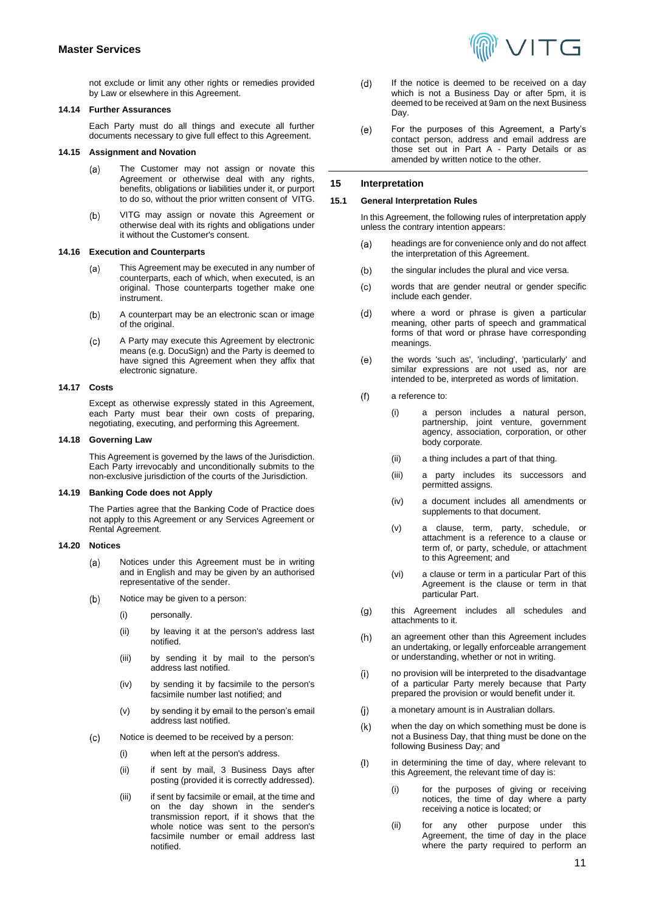not exclude or limit any other rights or remedies provided by Law or elsewhere in this Agreement.

#### **14.14 Further Assurances**

Each Party must do all things and execute all further documents necessary to give full effect to this Agreement.

## **14.15 Assignment and Novation**

- $(a)$ The Customer may not assign or novate this Agreement or otherwise deal with any rights, benefits, obligations or liabilities under it, or purport to do so, without the prior written consent of VITG.
- $(b)$ VITG may assign or novate this Agreement or otherwise deal with its rights and obligations under it without the Customer's consent.

#### **14.16 Execution and Counterparts**

- This Agreement may be executed in any number of (a) counterparts, each of which, when executed, is an original. Those counterparts together make one instrument.
- $(b)$ A counterpart may be an electronic scan or image of the original.
- A Party may execute this Agreement by electronic  $(c)$ means (e.g. DocuSign) and the Party is deemed to have signed this Agreement when they affix that electronic signature.

## **14.17 Costs**

Except as otherwise expressly stated in this Agreement, each Party must bear their own costs of preparing, negotiating, executing, and performing this Agreement.

#### **14.18 Governing Law**

This Agreement is governed by the laws of the Jurisdiction. Each Party irrevocably and unconditionally submits to the non-exclusive jurisdiction of the courts of the Jurisdiction.

## **14.19 Banking Code does not Apply**

The Parties agree that the Banking Code of Practice does not apply to this Agreement or any Services Agreement or Rental Agreement.

#### **14.20 Notices**

- Notices under this Agreement must be in writing  $(a)$ and in English and may be given by an authorised representative of the sender.
- $(b)$ Notice may be given to a person:
	- (i) personally.
	- (ii) by leaving it at the person's address last notified.
	- (iii) by sending it by mail to the person's address last notified.
	- (iv) by sending it by facsimile to the person's facsimile number last notified; and
	- (v) by sending it by email to the person's email address last notified.
- $(c)$ Notice is deemed to be received by a person:
	- (i) when left at the person's address.
	- (ii) if sent by mail, 3 Business Days after posting (provided it is correctly addressed).
	- (iii) if sent by facsimile or email, at the time and on the day shown in the sender's transmission report, if it shows that the whole notice was sent to the person's facsimile number or email address last notified.



- $(d)$ If the notice is deemed to be received on a day which is not a Business Day or after 5pm, it is deemed to be received at 9am on the next Business Day.
- $(e)$ For the purposes of this Agreement, a Party's contact person, address and email address are those set out in Part A - Party Details or as amended by written notice to the other.

## **15 Interpretation**

#### **15.1 General Interpretation Rules**

In this Agreement, the following rules of interpretation apply unless the contrary intention appears:

- headings are for convenience only and do not affect  $(a)$ the interpretation of this Agreement.
- $(b)$ the singular includes the plural and vice versa.
- words that are gender neutral or gender specific  $(c)$ include each gender.
- where a word or phrase is given a particular  $(d)$ meaning, other parts of speech and grammatical forms of that word or phrase have corresponding meanings.
- $(e)$ the words 'such as', 'including', 'particularly' and similar expressions are not used as, nor are intended to be, interpreted as words of limitation.
- a reference to:  $(f)$ 
	- (i) a person includes a natural person, partnership, joint venture, government agency, association, corporation, or other body corporate.
	- (ii) a thing includes a part of that thing.
	- (iii) a party includes its successors and permitted assigns.
	- (iv) a document includes all amendments or supplements to that document.
	- (v) a clause, term, party, schedule, or attachment is a reference to a clause or term of, or party, schedule, or attachment to this Agreement; and
	- (vi) a clause or term in a particular Part of this Agreement is the clause or term in that particular Part.
- this Agreement includes all schedules and  $(g)$ attachments to it.
- an agreement other than this Agreement includes  $(h)$ an undertaking, or legally enforceable arrangement or understanding, whether or not in writing.
- no provision will be interpreted to the disadvantage  $(i)$ of a particular Party merely because that Party prepared the provision or would benefit under it.
- $(i)$ a monetary amount is in Australian dollars.
- $(k)$ when the day on which something must be done is not a Business Day, that thing must be done on the following Business Day; and
- $(1)$ in determining the time of day, where relevant to this Agreement, the relevant time of day is:
	- for the purposes of giving or receiving notices, the time of day where a party receiving a notice is located; or
	- (ii) for any other purpose under this Agreement, the time of day in the place where the party required to perform an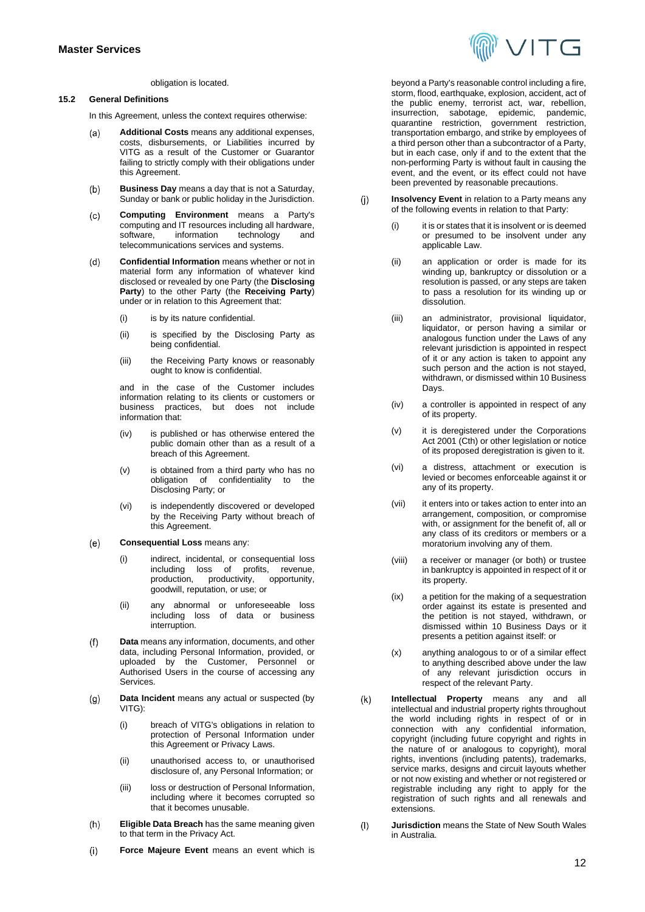

#### obligation is located.

### <span id="page-11-0"></span>**15.2 General Definitions**

In this Agreement, unless the context requires otherwise:

- **Additional Costs** means any additional expenses,  $(a)$ costs, disbursements, or Liabilities incurred by VITG as a result of the Customer or Guarantor failing to strictly comply with their obligations under this Agreement.
- **Business Day** means a day that is not a Saturday,  $(b)$ Sunday or bank or public holiday in the Jurisdiction.
- $(c)$ **Computing Environment** means a Party's computing and IT resources including all hardware,<br>software, information technology and technology telecommunications services and systems.
- **Confidential Information** means whether or not in  $(d)$ material form any information of whatever kind disclosed or revealed by one Party (the **Disclosing Party**) to the other Party (the **Receiving Party**) under or in relation to this Agreement that:
	- (i) is by its nature confidential.
	- (ii) is specified by the Disclosing Party as being confidential.
	- (iii) the Receiving Party knows or reasonably ought to know is confidential.

and in the case of the Customer includes information relating to its clients or customers or business practices, but does not include information that:

- (iv) is published or has otherwise entered the public domain other than as a result of a breach of this Agreement.
- (v) is obtained from a third party who has no obligation of confidentiality to the Disclosing Party; or
- (vi) is independently discovered or developed by the Receiving Party without breach of this Agreement.
- $(e)$ **Consequential Loss** means any:
	- (i) indirect, incidental, or consequential loss including loss of profits, revenue, production, productivity, opportunity, goodwill, reputation, or use; or
	- (ii) any abnormal or unforeseeable loss including loss of data or business interruption.
- $(f)$ **Data** means any information, documents, and other data, including Personal Information, provided, or uploaded by the Customer, Personnel or Authorised Users in the course of accessing any Services.
- $(a)$ **Data Incident** means any actual or suspected (by VITG):
	- (i) breach of VITG's obligations in relation to protection of Personal Information under this Agreement or Privacy Laws.
	- (ii) unauthorised access to, or unauthorised disclosure of, any Personal Information; or
	- (iii) loss or destruction of Personal Information, including where it becomes corrupted so that it becomes unusable.
- $(h)$ **Eligible Data Breach** has the same meaning given to that term in the Privacy Act.
- $(i)$ **Force Majeure Event** means an event which is

beyond a Party's reasonable control including a fire, storm, flood, earthquake, explosion, accident, act of the public enemy, terrorist act, war, rebellion, insurrection, sabotage, epidemic, pandemic, quarantine restriction, government restriction, transportation embargo, and strike by employees of a third person other than a subcontractor of a Party, but in each case, only if and to the extent that the non-performing Party is without fault in causing the event, and the event, or its effect could not have been prevented by reasonable precautions.

- $(i)$ **Insolvency Event** in relation to a Party means any of the following events in relation to that Party:
	- (i) it is or states that it is insolvent or is deemed or presumed to be insolvent under any applicable Law.
	- (ii) an application or order is made for its winding up, bankruptcy or dissolution or a resolution is passed, or any steps are taken to pass a resolution for its winding up or dissolution.
	- (iii) an administrator, provisional liquidator, liquidator, or person having a similar or analogous function under the Laws of any relevant jurisdiction is appointed in respect of it or any action is taken to appoint any such person and the action is not stayed, withdrawn, or dismissed within 10 Business Days.
	- (iv) a controller is appointed in respect of any of its property.
	- (v) it is deregistered under the Corporations Act 2001 (Cth) or other legislation or notice of its proposed deregistration is given to it.
	- (vi) a distress, attachment or execution is levied or becomes enforceable against it or any of its property.
	- (vii) it enters into or takes action to enter into an arrangement, composition, or compromise with, or assignment for the benefit of, all or any class of its creditors or members or a moratorium involving any of them.
	- (viii) a receiver or manager (or both) or trustee in bankruptcy is appointed in respect of it or its property.
	- (ix) a petition for the making of a sequestration order against its estate is presented and the petition is not stayed, withdrawn, or dismissed within 10 Business Days or it presents a petition against itself: or
	- (x) anything analogous to or of a similar effect to anything described above under the law of any relevant jurisdiction occurs in respect of the relevant Party.
- $(k)$ **Intellectual Property** means any and all intellectual and industrial property rights throughout the world including rights in respect of or in connection with any confidential information, copyright (including future copyright and rights in the nature of or analogous to copyright), moral rights, inventions (including patents), trademarks, service marks, designs and circuit layouts whether or not now existing and whether or not registered or registrable including any right to apply for the registration of such rights and all renewals and extensions.
- **Jurisdiction** means the State of New South Wales  $(1)$ in Australia.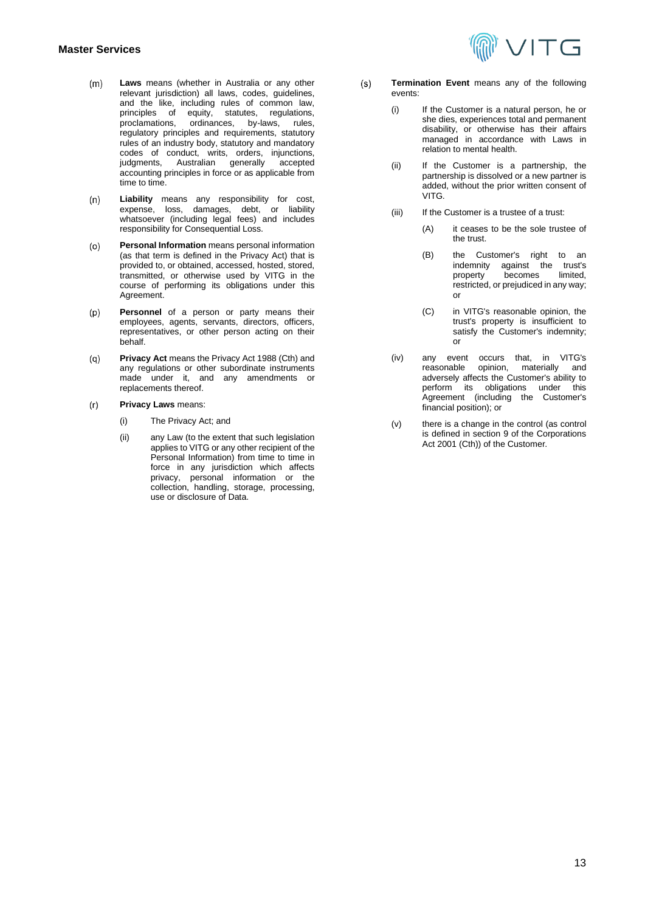## **Master Services**

- $(m)$ **Laws** means (whether in Australia or any other relevant jurisdiction) all laws, codes, guidelines, and the like, including rules of common law, principles of equity, statutes, regulations,<br>proclamations, ordinances, by-laws, rules, ordinances, by-laws, rules, regulatory principles and requirements, statutory rules of an industry body, statutory and mandatory codes of conduct, writs, orders, injunctions, judgments, Australian generally accepted accounting principles in force or as applicable from time to time.
- **Liability** means any responsibility for cost,  $(n)$ expense, loss, damages, debt, or liability whatsoever (including legal fees) and includes responsibility for Consequential Loss.
- **Personal Information** means personal information  $(o)$ (as that term is defined in the Privacy Act) that is provided to, or obtained, accessed, hosted, stored, transmitted, or otherwise used by VITG in the course of performing its obligations under this Agreement.
- **Personnel** of a person or party means their  $(p)$ employees, agents, servants, directors, officers, representatives, or other person acting on their behalf.
- **Privacy Act** means the Privacy Act 1988 (Cth) and  $(q)$ any regulations or other subordinate instruments made under it, and any amendments or replacements thereof.
- $(r)$ **Privacy Laws** means:
	- (i) The Privacy Act; and
	- (ii) any Law (to the extent that such legislation applies to VITG or any other recipient of the Personal Information) from time to time in force in any jurisdiction which affects privacy, personal information or the collection, handling, storage, processing, use or disclosure of Data.
- $(s)$ **Termination Event** means any of the following events:
	- (i) If the Customer is a natural person, he or she dies, experiences total and permanent disability, or otherwise has their affairs managed in accordance with Laws in relation to mental health.

ハエG

- (ii) If the Customer is a partnership, the partnership is dissolved or a new partner is added, without the prior written consent of VITG.
- (iii) If the Customer is a trustee of a trust:
	- (A) it ceases to be the sole trustee of the trust.
	- (B) the Customer's right to an indemnity against the trust's<br>property becomes limited. becomes restricted, or prejudiced in any way; or
	- (C) in VITG's reasonable opinion, the trust's property is insufficient to satisfy the Customer's indemnity; or
- (iv) any event occurs that, in VITG's opinion, materially adversely affects the Customer's ability to perform its obligations under this Agreement (including the Customer's financial position); or
- (v) there is a change in the control (as control is defined in section 9 of the Corporations Act 2001 (Cth)) of the Customer.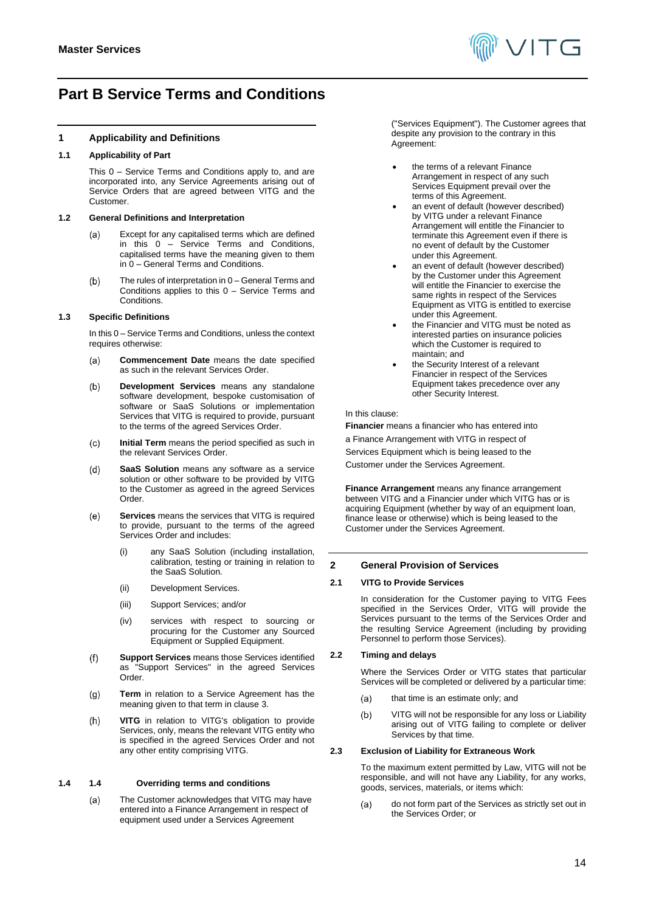

# <span id="page-13-0"></span>**Part B Service Terms and Conditions**

## **1 Applicability and Definitions**

## **1.1 Applicability of Part**

This [0](#page-13-0) – Service Terms and Conditions apply to, and are incorporated into, any Service Agreements arising out of Service Orders that are agreed between VITG and the Customer.

#### **1.2 General Definitions and Interpretation**

- Except for any capitalised terms which are defined  $(a)$ in this  $0 0 -$  Service Terms and Conditions, capitalised terms have the meaning given to them in [0](#page-0-0) – General Terms and Conditions.
- The rules of interpretation i[n 0](#page-0-0) General Terms and  $(b)$ Conditions applies to this [0](#page-13-0) – Service Terms and Conditions.

#### **1.3 Specific Definitions**

In thi[s 0](#page-13-0) – Service Terms and Conditions, unless the context requires otherwise:

- **Commencement Date** means the date specified  $(a)$ as such in the relevant Services Order.
- $(b)$ **Development Services** means any standalone software development, bespoke customisation of software or SaaS Solutions or implementation Services that VITG is required to provide, pursuant to the terms of the agreed Services Order.
- **Initial Term** means the period specified as such in  $(c)$ the relevant Services Order.
- **SaaS Solution** means any software as a service  $(d)$ solution or other software to be provided by VITG to the Customer as agreed in the agreed Services Order.
- **Services** means the services that VITG is required  $(e)$ to provide, pursuant to the terms of the agreed Services Order and includes:
	- (i) any SaaS Solution (including installation, calibration, testing or training in relation to the SaaS Solution.
	- (ii) Development Services.
	- (iii) Support Services; and/or
	- (iv) services with respect to sourcing or procuring for the Customer any Sourced Equipment or Supplied Equipment.
- **Support Services** means those Services identified  $(f)$ as "Support Services" in the agreed Services Order.
- **Term** in relation to a Service Agreement has the  $(g)$ meaning given to that term in claus[e 3.](#page-14-5)
- **VITG** in relation to VITG's obligation to provide  $(h)$ Services, only, means the relevant VITG entity who is specified in the agreed Services Order and not any other entity comprising VITG.

#### **1.4 1.4 Overriding terms and conditions**

The Customer acknowledges that VITG may have  $(a)$ entered into a Finance Arrangement in respect of equipment used under a Services Agreement

("Services Equipment"). The Customer agrees that despite any provision to the contrary in this Agreement:

- the terms of a relevant Finance Arrangement in respect of any such Services Equipment prevail over the terms of this Agreement.
- an event of default (however described) by VITG under a relevant Finance Arrangement will entitle the Financier to terminate this Agreement even if there is no event of default by the Customer under this Agreement.
- an event of default (however described) by the Customer under this Agreement will entitle the Financier to exercise the same rights in respect of the Services Equipment as VITG is entitled to exercise under this Agreement.
- the Financier and VITG must be noted as interested parties on insurance policies which the Customer is required to maintain; and
- the Security Interest of a relevant Financier in respect of the Services Equipment takes precedence over any other Security Interest.

#### In this clause:

**Financier** means a financier who has entered into

a Finance Arrangement with VITG in respect of

Services Equipment which is being leased to the

Customer under the Services Agreement.

**Finance Arrangement** means any finance arrangement between VITG and a Financier under which VITG has or is acquiring Equipment (whether by way of an equipment loan, finance lease or otherwise) which is being leased to the Customer under the Services Agreement.

### **2 General Provision of Services**

#### **2.1 VITG to Provide Services**

In consideration for the Customer paying to VITG Fees specified in the Services Order, VITG will provide the Services pursuant to the terms of the Services Order and the resulting Service Agreement (including by providing Personnel to perform those Services).

#### <span id="page-13-1"></span>**2.2 Timing and delays**

Where the Services Order or VITG states that particular Services will be completed or delivered by a particular time:

- $(a)$ that time is an estimate only; and
- $(b)$ VITG will not be responsible for any loss or Liability arising out of VITG failing to complete or deliver Services by that time.

## <span id="page-13-2"></span>**2.3 Exclusion of Liability for Extraneous Work**

To the maximum extent permitted by Law, VITG will not be responsible, and will not have any Liability, for any works, goods, services, materials, or items which:

do not form part of the Services as strictly set out in  $(a)$ the Services Order; or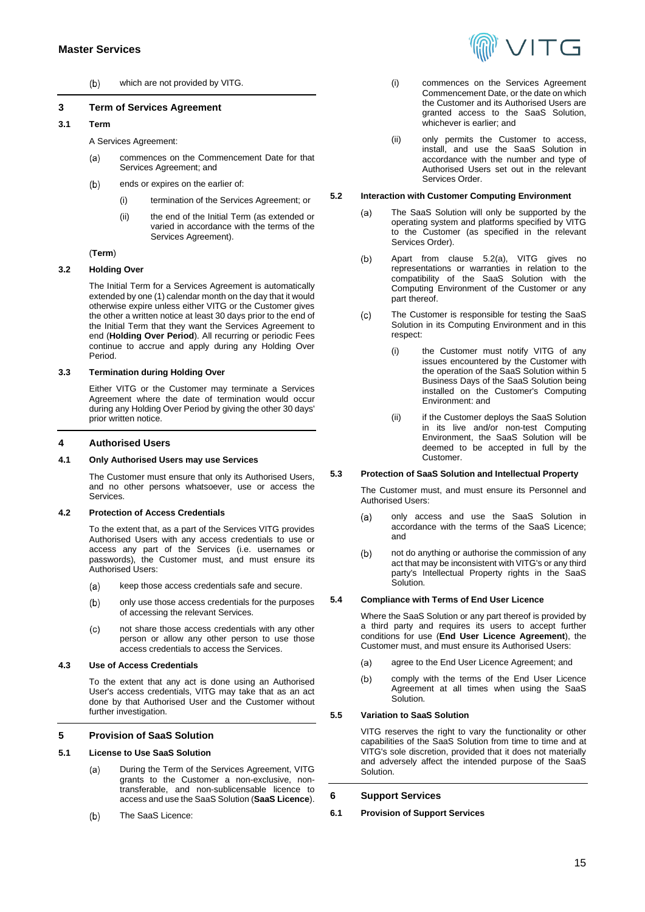

 $(b)$ which are not provided by VITG.

## <span id="page-14-5"></span>**3 Term of Services Agreement**

## **3.1 Term**

A Services Agreement:

- commences on the Commencement Date for that  $(a)$ Services Agreement; and
- ends or expires on the earlier of:  $(b)$ 
	- (i) termination of the Services Agreement; or
	- (ii) the end of the Initial Term (as extended or varied in accordance with the terms of the Services Agreement).

#### (**Term**)

#### **3.2 Holding Over**

The Initial Term for a Services Agreement is automatically extended by one (1) calendar month on the day that it would otherwise expire unless either VITG or the Customer gives the other a written notice at least 30 days prior to the end of the Initial Term that they want the Services Agreement to end (**Holding Over Period**). All recurring or periodic Fees continue to accrue and apply during any Holding Over Period.

## **3.3 Termination during Holding Over**

Either VITG or the Customer may terminate a Services Agreement where the date of termination would occur during any Holding Over Period by giving the other 30 days' prior written notice.

#### <span id="page-14-0"></span>**4 Authorised Users**

#### **4.1 Only Authorised Users may use Services**

The Customer must ensure that only its Authorised Users, and no other persons whatsoever, use or access the Services.

#### **4.2 Protection of Access Credentials**

To the extent that, as a part of the Services VITG provides Authorised Users with any access credentials to use or access any part of the Services (i.e. usernames or passwords), the Customer must, and must ensure its Authorised Users:

- $(a)$ keep those access credentials safe and secure.
- $(b)$ only use those access credentials for the purposes of accessing the relevant Services.
- not share those access credentials with any other  $(c)$ person or allow any other person to use those access credentials to access the Services.

#### **4.3 Use of Access Credentials**

To the extent that any act is done using an Authorised User's access credentials, VITG may take that as an act done by that Authorised User and the Customer without further investigation.

## **5 Provision of SaaS Solution**

#### **5.1 License to Use SaaS Solution**

- $(a)$ During the Term of the Services Agreement, VITG grants to the Customer a non-exclusive, nontransferable, and non-sublicensable licence to access and use the SaaS Solution (**SaaS Licence**).
- $(b)$ The SaaS Licence:
- (i) commences on the Services Agreement Commencement Date, or the date on which the Customer and its Authorised Users are granted access to the SaaS Solution, whichever is earlier; and
- (ii) only permits the Customer to access, install, and use the SaaS Solution in accordance with the number and type of Authorised Users set out in the relevant Services Order.

#### <span id="page-14-6"></span><span id="page-14-1"></span>**5.2 Interaction with Customer Computing Environment**

- The SaaS Solution will only be supported by the  $(a)$ operating system and platforms specified by VITG to the Customer (as specified in the relevant Services Order).
- $(b)$ Apart from clause [5.2\(a\),](#page-14-6) VITG gives no representations or warranties in relation to the compatibility of the SaaS Solution with the Computing Environment of the Customer or any part thereof.
- $(c)$ The Customer is responsible for testing the SaaS Solution in its Computing Environment and in this respect:
	- (i) the Customer must notify VITG of any issues encountered by the Customer with the operation of the SaaS Solution within 5 Business Days of the SaaS Solution being installed on the Customer's Computing Environment: and
	- (ii) if the Customer deploys the SaaS Solution in its live and/or non-test Computing Environment, the SaaS Solution will be deemed to be accepted in full by the Customer.

#### <span id="page-14-2"></span>**5.3 Protection of SaaS Solution and Intellectual Property**

The Customer must, and must ensure its Personnel and Authorised Users:

- $(a)$ only access and use the SaaS Solution in accordance with the terms of the SaaS Licence; and
- $(b)$ not do anything or authorise the commission of any act that may be inconsistent with VITG's or any third party's Intellectual Property rights in the SaaS Solution.

## <span id="page-14-3"></span>**5.4 Compliance with Terms of End User Licence**

Where the SaaS Solution or any part thereof is provided by a third party and requires its users to accept further conditions for use (**End User Licence Agreement**), the Customer must, and must ensure its Authorised Users:

- $(a)$ agree to the End User Licence Agreement; and
- $(b)$ comply with the terms of the End User Licence Agreement at all times when using the SaaS Solution.

#### <span id="page-14-4"></span>**5.5 Variation to SaaS Solution**

VITG reserves the right to vary the functionality or other capabilities of the SaaS Solution from time to time and at VITG's sole discretion, provided that it does not materially and adversely affect the intended purpose of the SaaS Solution.

## **6 Support Services**

**6.1 Provision of Support Services**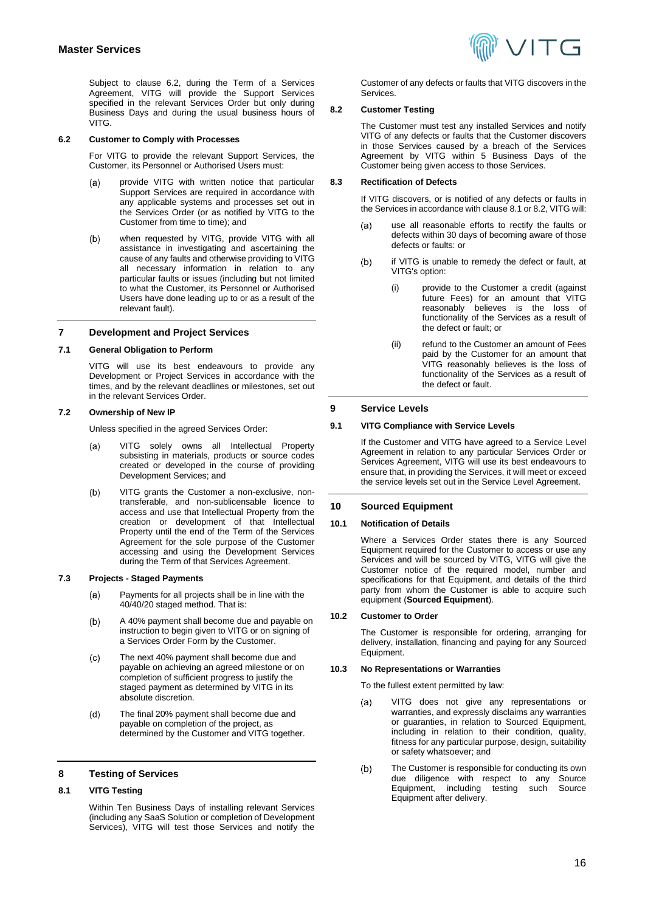Subject to clause [6.2,](#page-15-2) during the Term of a Services Agreement, VITG will provide the Support Services specified in the relevant Services Order but only during Business Days and during the usual business hours of VITG.

#### <span id="page-15-2"></span>**6.2 Customer to Comply with Processes**

For VITG to provide the relevant Support Services, the Customer, its Personnel or Authorised Users must:

- provide VITG with written notice that particular  $(a)$ Support Services are required in accordance with any applicable systems and processes set out in the Services Order (or as notified by VITG to the Customer from time to time); and
- when requested by VITG, provide VITG with all  $(b)$ assistance in investigating and ascertaining the cause of any faults and otherwise providing to VITG all necessary information in relation to any particular faults or issues (including but not limited to what the Customer, its Personnel or Authorised Users have done leading up to or as a result of the relevant fault).

## **7 Development and Project Services**

#### **7.1 General Obligation to Perform**

VITG will use its best endeavours to provide any Development or Project Services in accordance with the times, and by the relevant deadlines or milestones, set out in the relevant Services Order.

#### <span id="page-15-0"></span>**7.2 Ownership of New IP**

Unless specified in the agreed Services Order:

- VITG solely owns all Intellectual Property  $(a)$ subsisting in materials, products or source codes created or developed in the course of providing Development Services; and
- $(b)$ VITG grants the Customer a non-exclusive, nontransferable, and non-sublicensable licence to access and use that Intellectual Property from the creation or development of that Intellectual Property until the end of the Term of the Services Agreement for the sole purpose of the Customer accessing and using the Development Services during the Term of that Services Agreement.

### **7.3 Projects - Staged Payments**

- Payments for all projects shall be in line with the  $(a)$ 40/40/20 staged method. That is:
- A 40% payment shall become due and payable on  $(b)$ instruction to begin given to VITG or on signing of a Services Order Form by the Customer.
- The next 40% payment shall become due and  $(c)$ payable on achieving an agreed milestone or on completion of sufficient progress to justify the staged payment as determined by VITG in its absolute discretion.
- $(d)$ The final 20% payment shall become due and payable on completion of the project, as determined by the Customer and VITG together.

## **8 Testing of Services**

## <span id="page-15-3"></span>**8.1 VITG Testing**

Within Ten Business Days of installing relevant Services (including any SaaS Solution or completion of Development Services), VITG will test those Services and notify the



Customer of any defects or faults that VITG discovers in the **Services** 

#### <span id="page-15-4"></span>**8.2 Customer Testing**

The Customer must test any installed Services and notify VITG of any defects or faults that the Customer discovers in those Services caused by a breach of the Services Agreement by VITG within 5 Business Days of the Customer being given access to those Services.

#### **8.3 Rectification of Defects**

If VITG discovers, or is notified of any defects or faults in the Services in accordance with claus[e 8.1](#page-15-3) o[r 8.2,](#page-15-4) VITG will:

- use all reasonable efforts to rectify the faults or  $(a)$ defects within 30 days of becoming aware of those defects or faults: or
- $(b)$ if VITG is unable to remedy the defect or fault, at VITG's option:
	- (i) provide to the Customer a credit (against future Fees) for an amount that VITG reasonably believes is the loss of functionality of the Services as a result of the defect or fault; or
	- (ii) refund to the Customer an amount of Fees paid by the Customer for an amount that VITG reasonably believes is the loss of functionality of the Services as a result of the defect or fault.

## **9 Service Levels**

## **9.1 VITG Compliance with Service Levels**

If the Customer and VITG have agreed to a Service Level Agreement in relation to any particular Services Order or Services Agreement, VITG will use its best endeavours to ensure that, in providing the Services, it will meet or exceed the service levels set out in the Service Level Agreement.

## **10 Sourced Equipment**

#### **10.1 Notification of Details**

Where a Services Order states there is any Sourced Equipment required for the Customer to access or use any Services and will be sourced by VITG, VITG will give the Customer notice of the required model, number and specifications for that Equipment, and details of the third party from whom the Customer is able to acquire such equipment (**Sourced Equipment**).

#### **10.2 Customer to Order**

The Customer is responsible for ordering, arranging for delivery, installation, financing and paying for any Sourced Equipment.

#### <span id="page-15-1"></span>**10.3 No Representations or Warranties**

To the fullest extent permitted by law:

- VITG does not give any representations or  $(a)$ warranties, and expressly disclaims any warranties or guaranties, in relation to Sourced Equipment, including in relation to their condition, quality, fitness for any particular purpose, design, suitability or safety whatsoever; and
- The Customer is responsible for conducting its own  $(b)$ due diligence with respect to any Source Equipment, including testing such Source Equipment after delivery.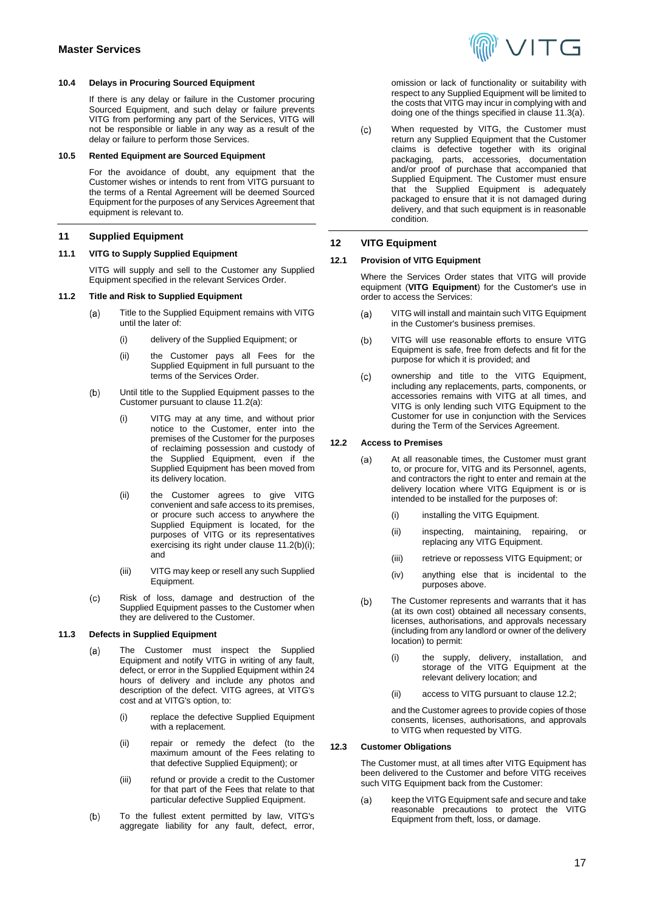## <span id="page-16-0"></span>**10.4 Delays in Procuring Sourced Equipment**

If there is any delay or failure in the Customer procuring Sourced Equipment, and such delay or failure prevents VITG from performing any part of the Services, VITG will not be responsible or liable in any way as a result of the delay or failure to perform those Services.

## <span id="page-16-1"></span>**10.5 Rented Equipment are Sourced Equipment**

For the avoidance of doubt, any equipment that the Customer wishes or intends to rent from VITG pursuant to the terms of a Rental Agreement will be deemed Sourced Equipment for the purposes of any Services Agreement that equipment is relevant to.

## **11 Supplied Equipment**

## **11.1 VITG to Supply Supplied Equipment**

VITG will supply and sell to the Customer any Supplied Equipment specified in the relevant Services Order.

## <span id="page-16-6"></span><span id="page-16-2"></span>**11.2 Title and Risk to Supplied Equipment**

- Title to the Supplied Equipment remains with VITG  $(a)$ until the later of:
	- (i) delivery of the Supplied Equipment; or
	- (ii) the Customer pays all Fees for the Supplied Equipment in full pursuant to the terms of the Services Order.
- <span id="page-16-7"></span> $(b)$ Until title to the Supplied Equipment passes to the Customer pursuant to clause [11.2\(a\):](#page-16-6) 
	- (i) VITG may at any time, and without prior notice to the Customer, enter into the premises of the Customer for the purposes of reclaiming possession and custody of the Supplied Equipment, even if the Supplied Equipment has been moved from its delivery location.
	- (ii) the Customer agrees to give VITG convenient and safe access to its premises, or procure such access to anywhere the Supplied Equipment is located, for the purposes of VITG or its representatives exercising its right under clause [11.2\(b\)\(i\);](#page-16-7)  and
	- (iii) VITG may keep or resell any such Supplied Equipment.
- $(c)$ Risk of loss, damage and destruction of the Supplied Equipment passes to the Customer when they are delivered to the Customer.

## <span id="page-16-8"></span>**11.3 Defects in Supplied Equipment**

- The Customer must inspect the Supplied  $(a)$ Equipment and notify VITG in writing of any fault, defect, or error in the Supplied Equipment within 24 hours of delivery and include any photos and description of the defect. VITG agrees, at VITG's cost and at VITG's option, to:
	- (i) replace the defective Supplied Equipment with a replacement.
	- (ii) repair or remedy the defect (to the maximum amount of the Fees relating to that defective Supplied Equipment); or
	- (iii) refund or provide a credit to the Customer for that part of the Fees that relate to that particular defective Supplied Equipment.
- To the fullest extent permitted by law, VITG's  $(b)$ aggregate liability for any fault, defect, error,



omission or lack of functionality or suitability with respect to any Supplied Equipment will be limited to the costs that VITG may incur in complying with and doing one of the things specified in claus[e 11.3\(a\).](#page-16-8)

When requested by VITG, the Customer must  $(c)$ return any Supplied Equipment that the Customer claims is defective together with its original packaging, parts, accessories, documentation and/or proof of purchase that accompanied that Supplied Equipment. The Customer must ensure that the Supplied Equipment is adequately packaged to ensure that it is not damaged during delivery, and that such equipment is in reasonable condition.

## **12 VITG Equipment**

## **12.1 Provision of VITG Equipment**

Where the Services Order states that VITG will provide equipment (**VITG Equipment**) for the Customer's use in order to access the Services:

- $(a)$ VITG will install and maintain such VITG Equipment in the Customer's business premises.
- $(b)$ VITG will use reasonable efforts to ensure VITG Equipment is safe, free from defects and fit for the purpose for which it is provided; and
- <span id="page-16-3"></span> $(c)$ ownership and title to the VITG Equipment, including any replacements, parts, components, or accessories remains with VITG at all times, and VITG is only lending such VITG Equipment to the Customer for use in conjunction with the Services during the Term of the Services Agreement.

## <span id="page-16-4"></span>**12.2 Access to Premises**

- At all reasonable times, the Customer must grant  $(a)$ to, or procure for, VITG and its Personnel, agents, and contractors the right to enter and remain at the delivery location where VITG Equipment is or is intended to be installed for the purposes of:
	- (i) installing the VITG Equipment.
	- (ii) inspecting, maintaining, repairing, or replacing any VITG Equipment.
	- (iii) retrieve or repossess VITG Equipment; or
	- (iv) anything else that is incidental to the purposes above.
- $(b)$ The Customer represents and warrants that it has (at its own cost) obtained all necessary consents, licenses, authorisations, and approvals necessary (including from any landlord or owner of the delivery location) to permit:
	- (i) the supply, delivery, installation, and storage of the VITG Equipment at the relevant delivery location; and
	- (ii) access to VITG pursuant to claus[e 12.2;](#page-16-4)

and the Customer agrees to provide copies of those consents, licenses, authorisations, and approvals to VITG when requested by VITG.

## <span id="page-16-5"></span>**12.3 Customer Obligations**

The Customer must, at all times after VITG Equipment has been delivered to the Customer and before VITG receives such VITG Equipment back from the Customer:

 $(a)$ keep the VITG Equipment safe and secure and take reasonable precautions to protect the VITG Equipment from theft, loss, or damage.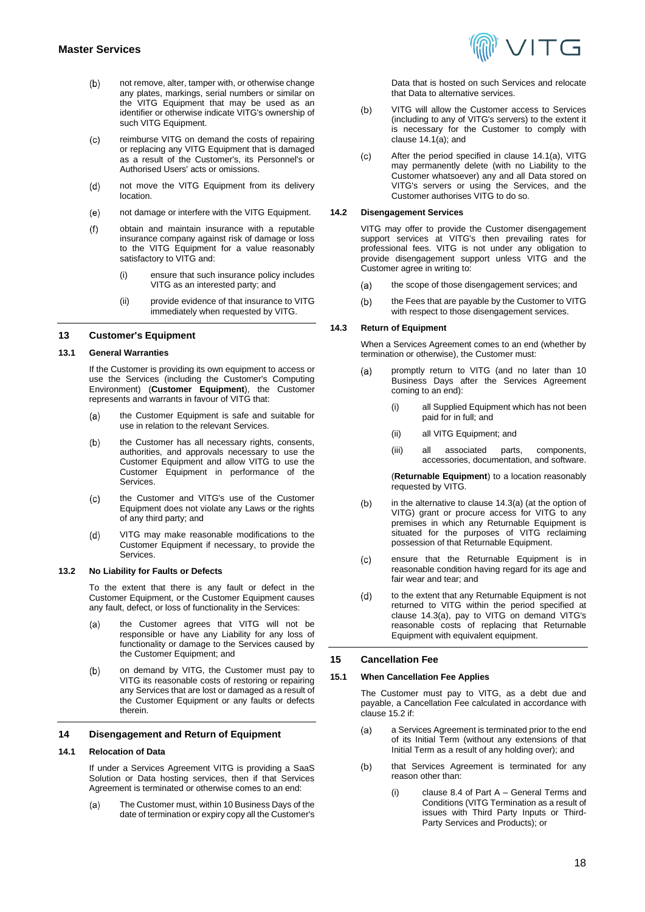- not remove, alter, tamper with, or otherwise change  $(b)$ any plates, markings, serial numbers or similar on the VITG Equipment that may be used as an identifier or otherwise indicate VITG's ownership of such VITG Equipment.
- reimburse VITG on demand the costs of repairing  $(c)$ or replacing any VITG Equipment that is damaged as a result of the Customer's, its Personnel's or Authorised Users' acts or omissions.
- $(d)$ not move the VITG Equipment from its delivery location.
- $(e)$ not damage or interfere with the VITG Equipment.
- obtain and maintain insurance with a reputable  $(f)$ insurance company against risk of damage or loss to the VITG Equipment for a value reasonably satisfactory to VITG and:
	- (i) ensure that such insurance policy includes VITG as an interested party; and
	- (ii) provide evidence of that insurance to VITG immediately when requested by VITG.

## **13 Customer's Equipment**

## <span id="page-17-0"></span>**13.1 General Warranties**

If the Customer is providing its own equipment to access or use the Services (including the Customer's Computing Environment) (**Customer Equipment**), the Customer represents and warrants in favour of VITG that:

- $(a)$ the Customer Equipment is safe and suitable for use in relation to the relevant Services.
- the Customer has all necessary rights, consents,  $(b)$ authorities, and approvals necessary to use the Customer Equipment and allow VITG to use the Customer Equipment in performance of the **Services**
- $(c)$ the Customer and VITG's use of the Customer Equipment does not violate any Laws or the rights of any third party; and
- $(d)$ VITG may make reasonable modifications to the Customer Equipment if necessary, to provide the **Services**

#### <span id="page-17-1"></span>**13.2 No Liability for Faults or Defects**

To the extent that there is any fault or defect in the Customer Equipment, or the Customer Equipment causes any fault, defect, or loss of functionality in the Services:

- the Customer agrees that VITG will not be  $(a)$ responsible or have any Liability for any loss of functionality or damage to the Services caused by the Customer Equipment; and
- on demand by VITG, the Customer must pay to  $(b)$ VITG its reasonable costs of restoring or repairing any Services that are lost or damaged as a result of the Customer Equipment or any faults or defects therein.

### <span id="page-17-2"></span>**14 Disengagement and Return of Equipment**

## **14.1 Relocation of Data**

If under a Services Agreement VITG is providing a SaaS Solution or Data hosting services, then if that Services Agreement is terminated or otherwise comes to an end:

<span id="page-17-4"></span>The Customer must, within 10 Business Days of the  $(a)$ date of termination or expiry copy all the Customer's



Data that is hosted on such Services and relocate that Data to alternative services.

- $(b)$ VITG will allow the Customer access to Services (including to any of VITG's servers) to the extent it is necessary for the Customer to comply with clause  $14.1(a)$ ; and
- After the period specified in clause [14.1\(a\),](#page-17-4) VITG  $(c)$ may permanently delete (with no Liability to the Customer whatsoever) any and all Data stored on VITG's servers or using the Services, and the Customer authorises VITG to do so.

#### **14.2 Disengagement Services**

VITG may offer to provide the Customer disengagement support services at VITG's then prevailing rates for professional fees. VITG is not under any obligation to provide disengagement support unless VITG and the Customer agree in writing to:

- the scope of those disengagement services; and  $(a)$
- $(b)$ the Fees that are payable by the Customer to VITG with respect to those disengagement services.

## **14.3 Return of Equipment**

When a Services Agreement comes to an end (whether by termination or otherwise), the Customer must:

- <span id="page-17-5"></span>promptly return to VITG (and no later than 10  $(a)$ Business Days after the Services Agreement coming to an end):
	- all Supplied Equipment which has not been paid for in full; and
	- (ii) all VITG Equipment; and
	- (iii) all associated parts, components, accessories, documentation, and software.

(**Returnable Equipment**) to a location reasonably requested by VITG.

- in the alternative to claus[e 14.3\(a\)](#page-17-5) (at the option of  $(b)$ VITG) grant or procure access for VITG to any premises in which any Returnable Equipment is situated for the purposes of VITG reclaiming possession of that Returnable Equipment.
- $(c)$ ensure that the Returnable Equipment is in reasonable condition having regard for its age and fair wear and tear; and
- $(d)$ to the extent that any Returnable Equipment is not returned to VITG within the period specified at clause [14.3\(a\),](#page-17-5) pay to VITG on demand VITG's reasonable costs of replacing that Returnable Equipment with equivalent equipment.

#### <span id="page-17-3"></span>**15 Cancellation Fee**

#### **15.1 When Cancellation Fee Applies**

The Customer must pay to VITG, as a debt due and payable, a Cancellation Fee calculated in accordance with claus[e 15.2](#page-18-0) if:

- a Services Agreement is terminated prior to the end  $(a)$ of its Initial Term (without any extensions of that Initial Term as a result of any holding over); and
- that Services Agreement is terminated for any  $(b)$ reason other than:
	- claus[e 8.4](#page-4-1) of Part  $A -$  General Terms and Conditions (VITG Termination as a result of issues with Third Party Inputs or Third-Party Services and Products); or